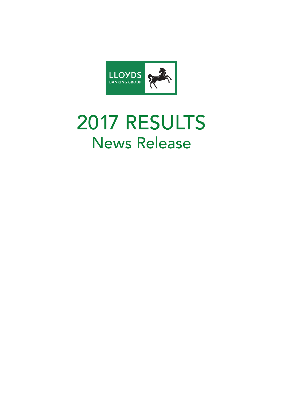

# 2017 RESULTS News Release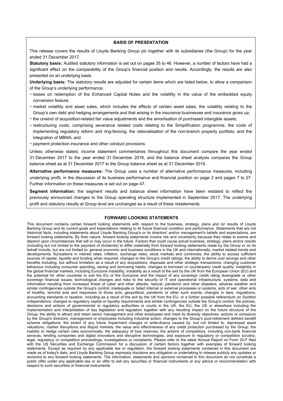#### **BASIS OF PRESENTATION**

This release covers the results of Lloyds Banking Group plc together with its subsidiaries (the Group) for the year ended 31 December 2017.

**Statutory basis:** Audited statutory information is set out on pages 35 to 46. However, a number of factors have had a significant effect on the comparability of the Group's financial position and results. Accordingly, the results are also presented on an underlying basis.

**Underlying basis:** The statutory results are adjusted for certain items which are listed below, to allow a comparison of the Group's underlying performance.

- − losses on redemption of the Enhanced Capital Notes and the volatility in the value of the embedded equity conversion feature;
- − market volatility and asset sales, which includes the effects of certain asset sales, the volatility relating to the Group's own debt and hedging arrangements and that arising in the insurance businesses and insurance gross up;
- − the unwind of acquisition-related fair value adjustments and the amortisation of purchased intangible assets;
- − restructuring costs, comprising severance related costs relating to the Simplification programme, the costs of implementing regulatory reform and ring-fencing; the rationalisation of the non-branch property portfolio; and the integration of MBNA; and
- − payment protection insurance and other conduct provisions.

Unless otherwise stated, income statement commentaries throughout this document compare the year ended 31 December 2017 to the year ended 31 December 2016, and the balance sheet analysis compares the Group balance sheet as at 31 December 2017 to the Group balance sheet as at 31 December 2016.

**Alternative performance measures:** The Group uses a number of alternative performance measures, including underlying profit, in the discussion of its business performance and financial position on page 2 and pages 7 to 27. Further information on these measures is set out on page 47.

**Segment information:** the segment results and balance sheet information have been restated to reflect the previously announced changes to the Group operating structure implemented in September 2017. The underlying profit and statutory results at Group level are unchanged as a result of these restatements.

#### **FORWARD LOOKING STATEMENTS**

This document contains certain forward looking statements with respect to the business, strategy, plans and /or results of Lloyds Banking Group and its current goals and expectations relating to its future financial condition and performance. Statements that are not historical facts, including statements about Lloyds Banking Group's or its directors' and/or management's beliefs and expectations, are forward looking statements. By their nature, forward looking statements involve risk and uncertainty because they relate to events and depend upon circumstances that will or may occur in the future. Factors that could cause actual business, strategy, plans and/or results (including but not limited to the payment of dividends) to differ materially from forward looking statements made by the Group or on its behalf include, but are not limited to: general economic and business conditions in the UK and internationally; market related trends and developments; fluctuations in interest rates, inflation, exchange rates, stock markets and currencies; the ability to access sufficient sources of capital, liquidity and funding when required; changes to the Group's credit ratings; the ability to derive cost savings and other benefits including, but without limitation as a result of any acquisitions, disposals and other strategic transactions; changing customer behaviour including consumer spending, saving and borrowing habits; changes to borrower or counterparty credit quality; instability in the global financial markets, including Eurozone instability, instability as a result of the exit by the UK from the European Union (EU) and the potential for other countries to exit the EU or the Eurozone and the impact of any sovereign credit rating downgrade or other sovereign financial issues; technological changes and risks to the security of IT and operational infrastructure, systems, data and information resulting from increased threat of cyber and other attacks; natural, pandemic and other disasters, adverse weather and similar contingencies outside the Group's control; inadequate or failed internal or external processes or systems; acts of war, other acts of hostility, terrorist acts and responses to those acts, geopolitical, pandemic or other such events; changes in laws, regulations, accounting standards or taxation, including as a result of the exit by the UK from the EU, or a further possible referendum on Scottish independence; changes to regulatory capital or liquidity requirements and similar contingencies outside the Group's control; the policies, decisions and actions of governmental or regulatory authorities or courts in the UK, the EU, the US or elsewhere including the implementation and interpretation of key legislation and regulation together with any resulting impact on the future structure of the Group; the ability to attract and retain senior management and other employees and meet its diversity objectives; actions or omissions by the Group's directors, management or employees including industrial action; changes to the Group's post-retirement defined benefit scheme obligations; the extent of any future impairment charges or write-downs caused by, but not limited to, depressed asset valuations, market disruptions and illiquid markets; the value and effectiveness of any credit protection purchased by the Group; the inability to hedge certain risks economically; the adequacy of loss reserves; the actions of competitors, including non-bank financial services, lending companies and digital innovators and disruptive technologies; and exposure to regulatory or competition scrutiny, legal, regulatory or competition proceedings, investigations or complaints. Please refer to the latest Annual Report on Form 20-F filed with the US Securities and Exchange Commission for a discussion of certain factors together with examples of forward looking statements. Except as required by any applicable law or regulation, the forward looking statements contained in this document are made as of today's date, and Lloyds Banking Group expressly disclaims any obligation or undertaking to release publicly any updates or revisions to any forward looking statements. The information, statements and opinions contained in this document do not constitute a public offer under any applicable law or an offer to sell any securities or financial instruments or any advice or recommendation with respect to such securities or financial instruments.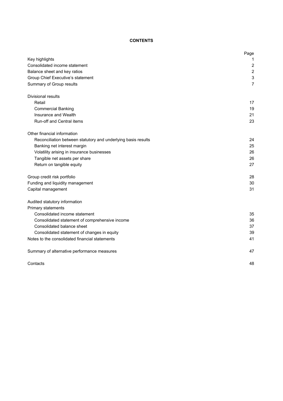# **CONTENTS**

|                                                               | Page                    |
|---------------------------------------------------------------|-------------------------|
| Key highlights                                                | 1                       |
| Consolidated income statement                                 | $\overline{\mathbf{c}}$ |
| Balance sheet and key ratios                                  | $\overline{2}$          |
| Group Chief Executive's statement                             | 3                       |
| Summary of Group results                                      | $\overline{7}$          |
| Divisional results                                            |                         |
| Retail                                                        | 17                      |
| <b>Commercial Banking</b>                                     | 19                      |
| Insurance and Wealth                                          | 21                      |
| <b>Run-off and Central items</b>                              | 23                      |
| Other financial information                                   |                         |
| Reconciliation between statutory and underlying basis results | 24                      |
| Banking net interest margin                                   | 25                      |
| Volatility arising in insurance businesses                    | 26                      |
| Tangible net assets per share                                 | 26                      |
| Return on tangible equity                                     | 27                      |
| Group credit risk portfolio                                   | 28                      |
| Funding and liquidity management                              | 30                      |
| Capital management                                            | 31                      |
| Audited statutory information                                 |                         |
| Primary statements                                            |                         |
| Consolidated income statement                                 | 35                      |
| Consolidated statement of comprehensive income                | 36                      |
| Consolidated balance sheet                                    | 37                      |
| Consolidated statement of changes in equity                   | 39                      |
| Notes to the consolidated financial statements                | 41                      |
| Summary of alternative performance measures                   | 47                      |
| Contacts                                                      | 48                      |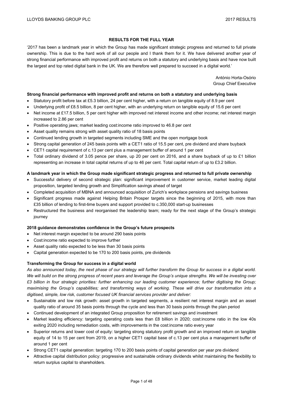## **RESULTS FOR THE FULL YEAR**

'2017 has been a landmark year in which the Group has made significant strategic progress and returned to full private ownership. This is due to the hard work of all our people and I thank them for it. We have delivered another year of strong financial performance with improved profit and returns on both a statutory and underlying basis and have now built the largest and top rated digital bank in the UK. We are therefore well prepared to succeed in a digital world.'

> António Horta-Osório Group Chief Executive

## **Strong financial performance with improved profit and returns on both a statutory and underlying basis**

- Statutory profit before tax at £5.3 billion, 24 per cent higher, with a return on tangible equity of 8.9 per cent
- Underlying profit of £8.5 billion, 8 per cent higher, with an underlying return on tangible equity of 15.6 per cent
- Net income at £17.5 billion, 5 per cent higher with improved net interest income and other income; net interest margin increased to 2.86 per cent
- Positive operating jaws; market leading cost:income ratio improved to 46.8 per cent
- Asset quality remains strong with asset quality ratio of 18 basis points
- Continued lending growth in targeted segments including SME and the open mortgage book
- Strong capital generation of 245 basis points with a CET1 ratio of 15.5 per cent, pre dividend and share buyback
- CET1 capital requirement of c.13 per cent plus a management buffer of around 1 per cent
- Total ordinary dividend of 3.05 pence per share, up 20 per cent on 2016, and a share buyback of up to £1 billion representing an increase in total capital returns of up to 46 per cent. Total capital return of up to £3.2 billion.

## **A landmark year in which the Group made significant strategic progress and returned to full private ownership**

- Successful delivery of second strategic plan: significant improvement in customer service, market leading digital proposition, targeted lending growth and Simplification savings ahead of target
- Completed acquisition of MBNA and announced acquisition of Zurich's workplace pensions and savings business
- Significant progress made against Helping Britain Prosper targets since the beginning of 2015, with more than £35 billion of lending to first-time buyers and support provided to c.350,000 start-up businesses
- Restructured the business and reorganised the leadership team; ready for the next stage of the Group's strategic iourney

## **2018 guidance demonstrates confidence in the Group's future prospects**

- Net interest margin expected to be around 290 basis points
- Cost:income ratio expected to improve further
- Asset quality ratio expected to be less than 30 basis points
- Capital generation expected to be 170 to 200 basis points, pre dividends

## **Transforming the Group for success in a digital world**

*As also announced today, the next phase of our strategy will further transform the Group for success in a digital world. We will build on the strong progress of recent years and leverage the Group's unique strengths. We will be investing over £3 billion in four strategic priorities: further enhancing our leading customer experience; further digitising the Group; maximising the Group's capabilities; and transforming ways of working. These will drive our transformation into a digitised, simple, low risk, customer focused UK financial services provider and deliver:* 

- Sustainable and low risk growth: asset growth in targeted segments, a resilient net interest margin and an asset quality ratio of around 35 basis points through the cycle and less than 30 basis points through the plan period
- Continued development of an integrated Group proposition for retirement savings and investment
- Market leading efficiency: targeting operating costs less than £8 billion in 2020; cost:income ratio in the low 40s exiting 2020 including remediation costs, with improvements in the cost:income ratio every year
- Superior returns and lower cost of equity: targeting strong statutory profit growth and an improved return on tangible equity of 14 to 15 per cent from 2019, on a higher CET1 capital base of c.13 per cent plus a management buffer of around 1 per cent
- Strong CET1 capital generation: targeting 170 to 200 basis points of capital generation per year pre dividend
- Attractive capital distribution policy: progressive and sustainable ordinary dividends whilst maintaining the flexibility to return surplus capital to shareholders.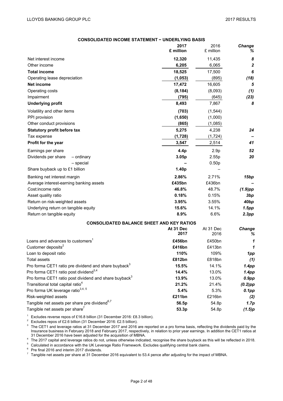|                                                                   | 2017<br>£ million | 2016<br>£ million | Change<br>℅      |
|-------------------------------------------------------------------|-------------------|-------------------|------------------|
| Net interest income                                               | 12,320            | 11,435            | 8                |
| Other income                                                      | 6,205             | 6,065             | 2                |
| <b>Total income</b>                                               | 18,525            | 17,500            | 6                |
| Operating lease depreciation                                      | (1,053)           | (895)             | (18)             |
| Net income                                                        | 17,472            | 16,605            | 5                |
| Operating costs                                                   | (8, 184)          | (8,093)           | (1)              |
| Impairment                                                        | (795)             | (645)             | (23)             |
| <b>Underlying profit</b>                                          | 8,493             | 7,867             | 8                |
|                                                                   |                   |                   |                  |
| Volatility and other items                                        | (703)             | (1, 544)          |                  |
| PPI provision                                                     | (1,650)           | (1,000)           |                  |
| Other conduct provisions                                          | (865)             | (1,085)           |                  |
| <b>Statutory profit before tax</b>                                | 5,275             | 4,238             | 24               |
| Tax expense                                                       | (1, 728)          | (1, 724)          | 41               |
| Profit for the year                                               | 3,547             | 2,514             |                  |
| Earnings per share                                                | 4.4p              | 2.9p              | 52               |
| Dividends per share<br>- ordinary                                 | 3.05 <sub>p</sub> | 2.55p             | 20               |
| - special                                                         |                   | 0.50 <sub>p</sub> |                  |
| Share buyback up to £1 billion                                    | 1.40p             |                   |                  |
| Banking net interest margin                                       | 2.86%             | 2.71%             | 15 <sub>bp</sub> |
| Average interest-earning banking assets                           | £435bn            | £436bn            |                  |
| Cost:income ratio                                                 | 46.8%             | 48.7%             | $(1.9)$ pp       |
| Asset quality ratio                                               | 0.18%             | 0.15%             | 3bp              |
| Return on risk-weighted assets                                    | 3.95%             | 3.55%             | 40bp             |
| Underlying return on tangible equity                              | 15.6%             | 14.1%             | 1.5pp            |
| Return on tangible equity                                         | 8.9%              | 6.6%              | 2.3pp            |
| <b>CONSOLIDATED BALANCE SHEET AND KEY RATIOS</b>                  |                   |                   |                  |
|                                                                   | At 31 Dec<br>2017 | At 31 Dec<br>2016 | Change<br>%      |
| Loans and advances to customers <sup>1</sup>                      | £456bn            | £450bn            | 1                |
| Customer deposits <sup>2</sup>                                    | £416bn            | £413bn            | 1                |
| Loan to deposit ratio                                             | 110%              | 109%              | 1pp              |
| Total assets                                                      | £812bn            | £818bn            | (1)              |
| Pro forma CET1 ratio pre dividend and share buyback <sup>3</sup>  | 15.5%             | 14.1%             | 1.4pp            |
| Pro forma CET1 ratio post dividend <sup>3,4</sup>                 | 14.4%             | 13.0%             | 1.4pp            |
| Pro forma CET1 ratio post dividend and share buyback <sup>3</sup> | 13.9%             | 13.0%             | $0.9$ pp         |
| Transitional total capital ratio <sup>4</sup>                     | 21.2%             | 21.4%             | $(0.2)$ pp       |
| Pro forma UK leverage ratio <sup>3,4, 5</sup>                     | 5.4%              | 5.3%              | 0.1pp            |
| Risk-weighted assets                                              | £211bn            | £216bn            | (2)              |
| Tangible net assets per share pre dividend <sup>6,7</sup>         | 56.5p             | 54.8p             | 1.7p             |
| Tangible net assets per share <sup>7</sup>                        | 53.3p             | 54.8p             | (1.5)p           |

## **CONSOLIDATED INCOME STATEMENT − UNDERLYING BASIS**

1 Excludes reverse repos of £16.8 billion (31 December 2016: £8.3 billion).<br><sup>2</sup> Excludes repos of £2.6 billion (31 December 2016: £2.5 billion).<br><sup>3</sup> The CET1 and leverage ratios at 31 December 2017 and 2016 are reported on Insurance business in February 2018 and February 2017, respectively, in relation to prior year earnings. In addition the CET1 ratios at 31 December 2016 have been adjusted for the acquisition of MBNA.  $\frac{31}{4}$  The 2017 capital and leverage ratios do not, unless otherwise indicated, recognise the share buyback as this will be reflected in 2018.

5 Calculated in accordance with the UK Leverage Ratio Framework. Excludes qualifying central bank claims.<br><sup>6</sup> Pre final 2016 and interim 2017 dividends.

<sup>7</sup> Tangible net assets per share at 31 December 2016 equivalent to 53.4 pence after adjusting for the impact of MBNA.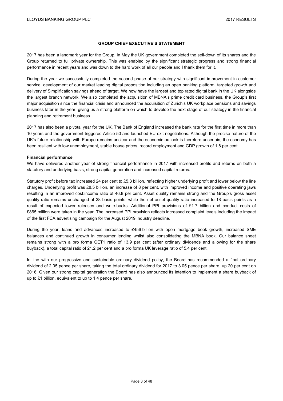## **GROUP CHIEF EXECUTIVE'S STATEMENT**

2017 has been a landmark year for the Group. In May the UK government completed the sell-down of its shares and the Group returned to full private ownership. This was enabled by the significant strategic progress and strong financial performance in recent years and was down to the hard work of all our people and I thank them for it.

During the year we successfully completed the second phase of our strategy with significant improvement in customer service, development of our market leading digital proposition including an open banking platform, targeted growth and delivery of Simplification savings ahead of target. We now have the largest and top rated digital bank in the UK alongside the largest branch network. We also completed the acquisition of MBNA's prime credit card business, the Group's first major acquisition since the financial crisis and announced the acquisition of Zurich's UK workplace pensions and savings business later in the year, giving us a strong platform on which to develop the next stage of our strategy in the financial planning and retirement business.

2017 has also been a pivotal year for the UK. The Bank of England increased the bank rate for the first time in more than 10 years and the government triggered Article 50 and launched EU exit negotiations. Although the precise nature of the UK's future relationship with Europe remains unclear and the economic outlook is therefore uncertain, the economy has been resilient with low unemployment, stable house prices, record employment and GDP growth of 1.8 per cent.

## **Financial performance**

We have delivered another year of strong financial performance in 2017 with increased profits and returns on both a statutory and underlying basis, strong capital generation and increased capital returns.

Statutory profit before tax increased 24 per cent to £5.3 billion, reflecting higher underlying profit and lower below the line charges. Underlying profit was £8.5 billion, an increase of 8 per cent, with improved income and positive operating jaws resulting in an improved cost:income ratio of 46.8 per cent. Asset quality remains strong and the Group's gross asset quality ratio remains unchanged at 28 basis points, while the net asset quality ratio increased to 18 basis points as a result of expected lower releases and write-backs. Additional PPI provisions of £1.7 billion and conduct costs of £865 million were taken in the year. The increased PPI provision reflects increased complaint levels including the impact of the first FCA advertising campaign for the August 2019 industry deadline.

During the year, loans and advances increased to £456 billion with open mortgage book growth, increased SME balances and continued growth in consumer lending whilst also consolidating the MBNA book. Our balance sheet remains strong with a pro forma CET1 ratio of 13.9 per cent (after ordinary dividends and allowing for the share buyback), a total capital ratio of 21.2 per cent and a pro forma UK leverage ratio of 5.4 per cent.

In line with our progressive and sustainable ordinary dividend policy, the Board has recommended a final ordinary dividend of 2.05 pence per share, taking the total ordinary dividend for 2017 to 3.05 pence per share, up 20 per cent on 2016. Given our strong capital generation the Board has also announced its intention to implement a share buyback of up to £1 billion, equivalent to up to 1.4 pence per share.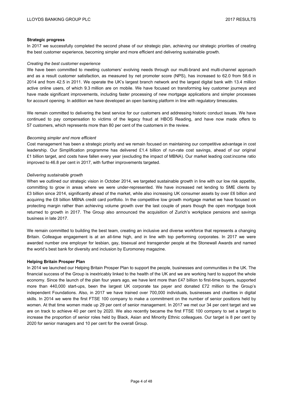## **Strategic progress**

In 2017 we successfully completed the second phase of our strategic plan, achieving our strategic priorities of creating the best customer experience, becoming simpler and more efficient and delivering sustainable growth.

#### *Creating the best customer experience*

We have been committed to meeting customers' evolving needs through our multi-brand and multi-channel approach and as a result customer satisfaction, as measured by net promoter score (NPS), has increased to 62.0 from 58.6 in 2014 and from 42.5 in 2011. We operate the UK's largest branch network and the largest digital bank with 13.4 million active online users, of which 9.3 million are on mobile. We have focused on transforming key customer journeys and have made significant improvements, including faster processing of new mortgage applications and simpler processes for account opening. In addition we have developed an open banking platform in line with regulatory timescales.

We remain committed to delivering the best service for our customers and addressing historic conduct issues. We have continued to pay compensation to victims of the legacy fraud at HBOS Reading, and have now made offers to 57 customers, which represents more than 80 per cent of the customers in the review.

#### *Becoming simpler and more efficient*

Cost management has been a strategic priority and we remain focused on maintaining our competitive advantage in cost leadership. Our Simplification programme has delivered £1.4 billion of run-rate cost savings, ahead of our original £1 billion target, and costs have fallen every year (excluding the impact of MBNA). Our market leading cost:income ratio improved to 46.8 per cent in 2017, with further improvements targeted.

## *Delivering sustainable growth*

When we outlined our strategic vision in October 2014, we targeted sustainable growth in line with our low risk appetite, committing to grow in areas where we were under-represented. We have increased net lending to SME clients by £3 billion since 2014, significantly ahead of the market, while also increasing UK consumer assets by over £6 billion and acquiring the £8 billion MBNA credit card portfolio. In the competitive low growth mortgage market we have focused on protecting margin rather than achieving volume growth over the last couple of years though the open mortgage book returned to growth in 2017. The Group also announced the acquisition of Zurich's workplace pensions and savings business in late 2017.

We remain committed to building the best team, creating an inclusive and diverse workforce that represents a changing Britain. Colleague engagement is at an all-time high, and in line with top performing corporates. In 2017 we were awarded number one employer for lesbian, gay, bisexual and transgender people at the Stonewall Awards and named the world's best bank for diversity and inclusion by Euromoney magazine.

## **Helping Britain Prosper Plan**

In 2014 we launched our Helping Britain Prosper Plan to support the people, businesses and communities in the UK. The financial success of the Group is inextricably linked to the health of the UK and we are working hard to support the whole economy. Since the launch of the plan four years ago, we have lent more than £47 billion to first-time buyers, supported more than 440,000 start-ups, been the largest UK corporate tax payer and donated £72 million to the Group's independent Foundations. Also, in 2017 we have trained over 700,000 individuals, businesses and charities in digital skills. In 2014 we were the first FTSE 100 company to make a commitment on the number of senior positions held by women. At that time women made up 29 per cent of senior management. In 2017 we met our 34 per cent target and we are on track to achieve 40 per cent by 2020. We also recently became the first FTSE 100 company to set a target to increase the proportion of senior roles held by Black, Asian and Minority Ethnic colleagues. Our target is 8 per cent by 2020 for senior managers and 10 per cent for the overall Group.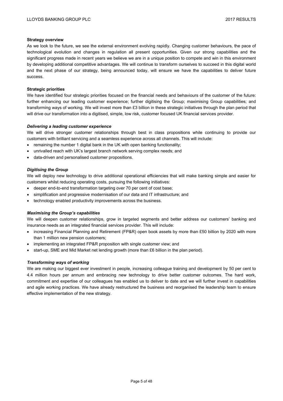## **Strategy overview**

As we look to the future, we see the external environment evolving rapidly. Changing customer behaviours, the pace of technological evolution and changes in regulation all present opportunities. Given our strong capabilities and the significant progress made in recent years we believe we are in a unique position to compete and win in this environment by developing additional competitive advantages. We will continue to transform ourselves to succeed in this digital world and the next phase of our strategy, being announced today, will ensure we have the capabilities to deliver future success.

## **Strategic priorities**

We have identified four strategic priorities focused on the financial needs and behaviours of the customer of the future: further enhancing our leading customer experience; further digitising the Group; maximising Group capabilities; and transforming ways of working. We will invest more than £3 billion in these strategic initiatives through the plan period that will drive our transformation into a digitised, simple, low risk, customer focused UK financial services provider.

## *Delivering a leading customer experience*

We will drive stronger customer relationships through best in class propositions while continuing to provide our customers with brilliant servicing and a seamless experience across all channels. This will include:

- remaining the number 1 digital bank in the UK with open banking functionality;
- unrivalled reach with UK's largest branch network serving complex needs; and
- data-driven and personalised customer propositions.

## *Digitising the Group*

We will deploy new technology to drive additional operational efficiencies that will make banking simple and easier for customers whilst reducing operating costs, pursuing the following initiatives:

- deeper end-to-end transformation targeting over 70 per cent of cost base;
- simplification and progressive modernisation of our data and IT infrastructure; and
- technology enabled productivity improvements across the business.

## *Maximising the Group's capabilities*

We will deepen customer relationships, grow in targeted segments and better address our customers' banking and insurance needs as an integrated financial services provider. This will include:

- increasing Financial Planning and Retirement (FP&R) open book assets by more than £50 billion by 2020 with more than 1 million new pension customers;
- implementing an integrated FP&R proposition with single customer view; and
- start-up, SME and Mid Market net lending growth (more than £6 billion in the plan period).

## *Transforming ways of working*

We are making our biggest ever investment in people, increasing colleague training and development by 50 per cent to 4.4 million hours per annum and embracing new technology to drive better customer outcomes. The hard work, commitment and expertise of our colleagues has enabled us to deliver to date and we will further invest in capabilities and agile working practices. We have already restructured the business and reorganised the leadership team to ensure effective implementation of the new strategy.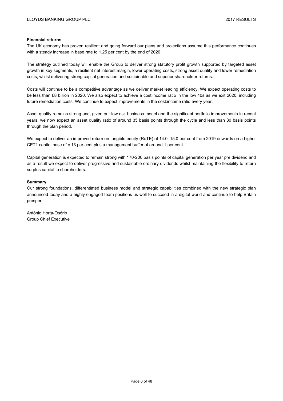## **Financial returns**

The UK economy has proven resilient and going forward our plans and projections assume this performance continues with a steady increase in base rate to 1.25 per cent by the end of 2020.

The strategy outlined today will enable the Group to deliver strong statutory profit growth supported by targeted asset growth in key segments, a resilient net interest margin, lower operating costs, strong asset quality and lower remediation costs, whilst delivering strong capital generation and sustainable and superior shareholder returns.

Costs will continue to be a competitive advantage as we deliver market leading efficiency. We expect operating costs to be less than £8 billion in 2020. We also expect to achieve a cost:income ratio in the low 40s as we exit 2020, including future remediation costs. We continue to expect improvements in the cost:income ratio every year.

Asset quality remains strong and, given our low risk business model and the significant portfolio improvements in recent years, we now expect an asset quality ratio of around 35 basis points through the cycle and less than 30 basis points through the plan period.

We expect to deliver an improved return on tangible equity (RoTE) of 14.0–15.0 per cent from 2019 onwards on a higher CET1 capital base of c.13 per cent plus a management buffer of around 1 per cent.

Capital generation is expected to remain strong with 170-200 basis points of capital generation per year pre dividend and as a result we expect to deliver progressive and sustainable ordinary dividends whilst maintaining the flexibility to return surplus capital to shareholders.

## **Summary**

Our strong foundations, differentiated business model and strategic capabilities combined with the new strategic plan announced today and a highly engaged team positions us well to succeed in a digital world and continue to help Britain prosper.

António Horta-Osório Group Chief Executive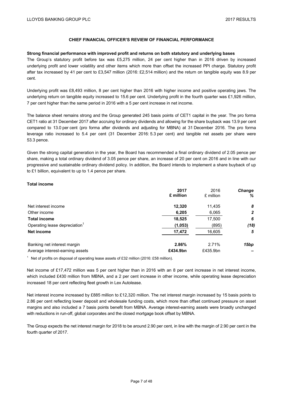## **CHIEF FINANCIAL OFFICER'S REVIEW OF FINANCIAL PERFORMANCE**

#### **Strong financial performance with improved profit and returns on both statutory and underlying bases**

The Group's statutory profit before tax was £5,275 million, 24 per cent higher than in 2016 driven by increased underlying profit and lower volatility and other items which more than offset the increased PPI charge. Statutory profit after tax increased by 41 per cent to £3,547 million (2016: £2,514 million) and the return on tangible equity was 8.9 per cent.

Underlying profit was £8,493 million, 8 per cent higher than 2016 with higher income and positive operating jaws. The underlying return on tangible equity increased to 15.6 per cent. Underlying profit in the fourth quarter was £1,926 million, 7 per cent higher than the same period in 2016 with a 5 per cent increase in net income.

The balance sheet remains strong and the Group generated 245 basis points of CET1 capital in the year. The pro forma CET1 ratio at 31 December 2017 after accruing for ordinary dividends and allowing for the share buyback was 13.9 per cent compared to 13.0 per cent (pro forma after dividends and adjusting for MBNA) at 31 December 2016. The pro forma leverage ratio increased to 5.4 per cent (31 December 2016: 5.3 per cent) and tangible net assets per share were 53.3 pence.

Given the strong capital generation in the year, the Board has recommended a final ordinary dividend of 2.05 pence per share, making a total ordinary dividend of 3.05 pence per share, an increase of 20 per cent on 2016 and in line with our progressive and sustainable ordinary dividend policy. In addition, the Board intends to implement a share buyback of up to £1 billion, equivalent to up to 1.4 pence per share.

#### **Total income**

|                                           | 2017      | 2016      | <b>Change</b>  |
|-------------------------------------------|-----------|-----------|----------------|
|                                           | £ million | £ million | %              |
| Net interest income                       | 12,320    | 11,435    | 8              |
| Other income                              | 6,205     | 6,065     | $\overline{2}$ |
| <b>Total income</b>                       | 18,525    | 17,500    | 6              |
| Operating lease depreciation <sup>1</sup> | (1,053)   | (895)     | (18)           |
| Net income                                | 17,472    | 16,605    | 5              |
| Banking net interest margin               | 2.86%     | 2.71%     | 15bp           |
| Average interest-earning assets           | £434.9bn  | £435.9bn  |                |

<sup>1</sup> Net of profits on disposal of operating lease assets of £32 million (2016: £58 million).

Net income of £17,472 million was 5 per cent higher than in 2016 with an 8 per cent increase in net interest income, which included £430 million from MBNA, and a 2 per cent increase in other income, while operating lease depreciation increased 18 per cent reflecting fleet growth in Lex Autolease.

Net interest income increased by £885 million to £12,320 million. The net interest margin increased by 15 basis points to 2.86 per cent reflecting lower deposit and wholesale funding costs, which more than offset continued pressure on asset margins and also included a 7 basis points benefit from MBNA. Average interest-earning assets were broadly unchanged with reductions in run-off, global corporates and the closed mortgage book offset by MBNA.

The Group expects the net interest margin for 2018 to be around 2.90 per cent, in line with the margin of 2.90 per cent in the fourth quarter of 2017.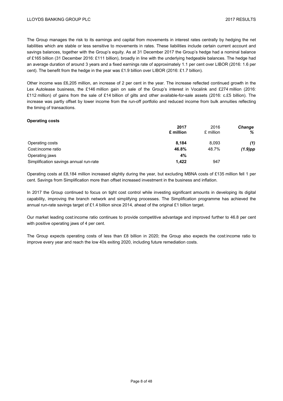The Group manages the risk to its earnings and capital from movements in interest rates centrally by hedging the net liabilities which are stable or less sensitive to movements in rates. These liabilities include certain current account and savings balances, together with the Group's equity. As at 31 December 2017 the Group's hedge had a nominal balance of £165 billion (31 December 2016: £111 billion), broadly in line with the underlying hedgeable balances. The hedge had an average duration of around 3 years and a fixed earnings rate of approximately 1.1 per cent over LIBOR (2016: 1.6 per cent). The benefit from the hedge in the year was £1.9 billion over LIBOR (2016: £1.7 billion).

Other income was £6,205 million, an increase of 2 per cent in the year. The increase reflected continued growth in the Lex Autolease business, the £146 million gain on sale of the Group's interest in Vocalink and £274 million (2016: £112 million) of gains from the sale of £14 billion of gilts and other available-for-sale assets (2016: c.£5 billion). The increase was partly offset by lower income from the run-off portfolio and reduced income from bulk annuities reflecting the timing of transactions.

## **Operating costs**

|                                        | 2017      | 2016      | <b>Change</b> |
|----------------------------------------|-----------|-----------|---------------|
|                                        | £ million | £ million | %             |
| Operating costs                        | 8.184     | 8.093     | (1)           |
| Cost:income ratio                      | 46.8%     | 48.7%     | $(1.9)$ pp    |
| Operating jaws                         | 4%        |           |               |
| Simplification savings annual run-rate | 1.422     | 947       |               |

Operating costs at £8,184 million increased slightly during the year, but excluding MBNA costs of £135 million fell 1 per cent. Savings from Simplification more than offset increased investment in the business and inflation.

In 2017 the Group continued to focus on tight cost control while investing significant amounts in developing its digital capability, improving the branch network and simplifying processes. The Simplification programme has achieved the annual run-rate savings target of £1.4 billion since 2014, ahead of the original £1 billion target.

Our market leading cost:income ratio continues to provide competitive advantage and improved further to 46.8 per cent with positive operating jaws of 4 per cent.

The Group expects operating costs of less than £8 billion in 2020; the Group also expects the cost:income ratio to improve every year and reach the low 40s exiting 2020, including future remediation costs.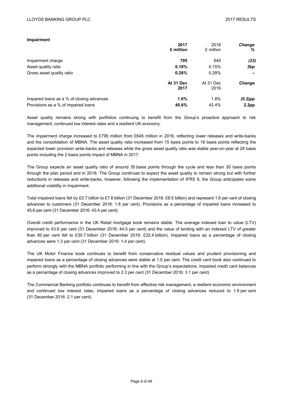## **Impairment**

| 2017<br>£ million | 2016<br>£ million | Change<br>℅         |
|-------------------|-------------------|---------------------|
| 795               | 645               | (23)                |
| 0.18%             | 0.15%             | 3bp                 |
| 0.28%             | 0.28%             |                     |
| At 31 Dec<br>2017 | At 31 Dec<br>2016 | Change              |
| 1.6%<br>45.6%     | 1.8%<br>43.4%     | $(0.2)$ pp<br>2.2pp |
|                   |                   |                     |

Asset quality remains strong with portfolios continuing to benefit from the Group's proactive approach to risk management, continued low interest rates and a resilient UK economy.

The impairment charge increased to £795 million from £645 million in 2016, reflecting lower releases and write-backs and the consolidation of MBNA. The asset quality ratio increased from 15 basis points to 18 basis points reflecting the expected lower provision write-backs and releases while the gross asset quality ratio was stable year-on-year at 28 basis points including the 2 basis points impact of MBNA in 2017.

The Group expects an asset quality ratio of around 35 basis points through the cycle and less than 30 basis points through the plan period and in 2018. The Group continues to expect the asset quality to remain strong but with further reductions in releases and write-backs, however, following the implementation of IFRS 9, the Group anticipates some additional volatility in impairment.

Total impaired loans fell by £0.7 billion to £7.8 billion (31 December 2016: £8.5 billion) and represent 1.6 per cent of closing advances to customers (31 December 2016: 1.8 per cent). Provisions as a percentage of impaired loans increased to 45.6 per cent (31 December 2016: 43.4 per cent).

Overall credit performance in the UK Retail mortgage book remains stable. The average indexed loan to value (LTV) improved to 43.6 per cent (31 December 2016: 44.0 per cent) and the value of lending with an indexed LTV of greater than 80 per cent fell to £30.7 billion (31 December 2016: £32.4 billion). Impaired loans as a percentage of closing advances were 1.3 per cent (31 December 2016: 1.4 per cent).

The UK Motor Finance book continues to benefit from conservative residual values and prudent provisioning and impaired loans as a percentage of closing advances were stable at 1.0 per cent. The credit card book also continued to perform strongly with the MBNA portfolio performing in line with the Group's expectations. Impaired credit card balances as a percentage of closing advances improved to 2.3 per cent (31 December 2016: 3.1 per cent).

The Commercial Banking portfolio continues to benefit from effective risk management, a resilient economic environment and continued low interest rates. Impaired loans as a percentage of closing advances reduced to 1.9 per cent (31 December 2016: 2.1 per cent).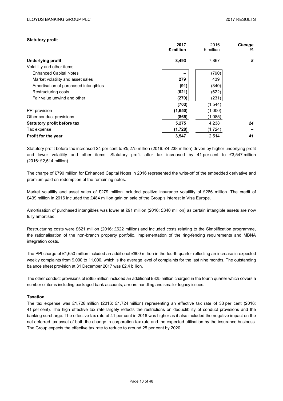## **Statutory profit**

|                                       | 2017<br>£ million | 2016<br>£ million | <b>Change</b><br>℅ |
|---------------------------------------|-------------------|-------------------|--------------------|
| <b>Underlying profit</b>              | 8,493             | 7,867             | 8                  |
| Volatility and other items            |                   |                   |                    |
| <b>Enhanced Capital Notes</b>         |                   | (790)             |                    |
| Market volatility and asset sales     | 279               | 439               |                    |
| Amortisation of purchased intangibles | (91)              | (340)             |                    |
| Restructuring costs                   | (621)             | (622)             |                    |
| Fair value unwind and other           | (270)             | (231)             |                    |
|                                       | (703)             | (1,544)           |                    |
| PPI provision                         | (1,650)           | (1,000)           |                    |
| Other conduct provisions              | (865)             | (1,085)           |                    |
| Statutory profit before tax           | 5,275             | 4,238             | 24                 |
| Tax expense                           | (1,728)           | (1, 724)          |                    |
| Profit for the year                   | 3,547             | 2,514             | 41                 |
|                                       |                   |                   |                    |

Statutory profit before tax increased 24 per cent to £5,275 million (2016: £4,238 million) driven by higher underlying profit and lower volatility and other items. Statutory profit after tax increased by 41 per cent to £3,547 million (2016: £2,514 million).

The charge of £790 million for Enhanced Capital Notes in 2016 represented the write-off of the embedded derivative and premium paid on redemption of the remaining notes.

Market volatility and asset sales of £279 million included positive insurance volatility of £286 million. The credit of £439 million in 2016 included the £484 million gain on sale of the Group's interest in Visa Europe.

Amortisation of purchased intangibles was lower at £91 million (2016: £340 million) as certain intangible assets are now fully amortised.

Restructuring costs were £621 million (2016: £622 million) and included costs relating to the Simplification programme, the rationalisation of the non-branch property portfolio, implementation of the ring-fencing requirements and MBNA integration costs.

The PPI charge of £1,650 million included an additional £600 million in the fourth quarter reflecting an increase in expected weekly complaints from 9,000 to 11,000, which is the average level of complaints for the last nine months. The outstanding balance sheet provision at 31 December 2017 was £2.4 billion.

The other conduct provisions of £865 million included an additional £325 million charged in the fourth quarter which covers a number of items including packaged bank accounts, arrears handling and smaller legacy issues.

## **Taxation**

The tax expense was £1,728 million (2016: £1,724 million) representing an effective tax rate of 33 per cent (2016: 41 per cent). The high effective tax rate largely reflects the restrictions on deductibility of conduct provisions and the banking surcharge. The effective tax rate of 41 per cent in 2016 was higher as it also included the negative impact on the net deferred tax asset of both the change in corporation tax rate and the expected utilisation by the insurance business. The Group expects the effective tax rate to reduce to around 25 per cent by 2020.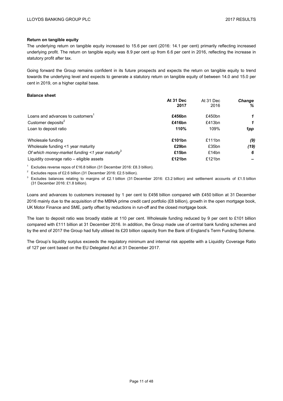## **Return on tangible equity**

The underlying return on tangible equity increased to 15.6 per cent (2016: 14.1 per cent) primarily reflecting increased underlying profit. The return on tangible equity was 8.9 per cent up from 6.6 per cent in 2016, reflecting the increase in statutory profit after tax.

Going forward the Group remains confident in its future prospects and expects the return on tangible equity to trend towards the underlying level and expects to generate a statutory return on tangible equity of between 14.0 and 15.0 per cent in 2019, on a higher capital base.

## **Balance sheet**

|                                                             | At 31 Dec | At 31 Dec | <b>Change</b> |
|-------------------------------------------------------------|-----------|-----------|---------------|
|                                                             | 2017      | 2016      | ℅             |
| Loans and advances to customers <sup>1</sup>                | £456bn    | £450bn    |               |
| Customer deposits <sup>2</sup>                              | £416bn    | £413bn    |               |
| Loan to deposit ratio                                       | 110%      | 109%      | 1pp           |
| Wholesale funding                                           | £101bn    | £111bn    | (9)           |
| Wholesale funding <1 year maturity                          | £29bn     | £35bn     | (19)          |
| Of which money-market funding <1 year maturity <sup>3</sup> | £15bn     | £14bn     | -6            |
| Liquidity coverage ratio – eligible assets                  | £121bn    | £121bn    |               |

<sup>1</sup> Excludes reverse repos of £16.8 billion (31 December 2016: £8.3 billion).

<sup>2</sup> Excludes repos of £2.6 billion (31 December 2016: £2.5 billion).

<sup>3</sup> Excludes balances relating to margins of £2.1 billion (31 December 2016: £3.2 billion) and settlement accounts of £1.5 billion (31 December 2016: £1.8 billion).

Loans and advances to customers increased by 1 per cent to £456 billion compared with £450 billion at 31 December 2016 mainly due to the acquisition of the MBNA prime credit card portfolio (£8 billion), growth in the open mortgage book, UK Motor Finance and SME, partly offset by reductions in run-off and the closed mortgage book.

The loan to deposit ratio was broadly stable at 110 per cent. Wholesale funding reduced by 9 per cent to £101 billion compared with £111 billion at 31 December 2016. In addition, the Group made use of central bank funding schemes and by the end of 2017 the Group had fully utilised its £20 billion capacity from the Bank of England's Term Funding Scheme.

The Group's liquidity surplus exceeds the regulatory minimum and internal risk appetite with a Liquidity Coverage Ratio of 127 per cent based on the EU Delegated Act at 31 December 2017.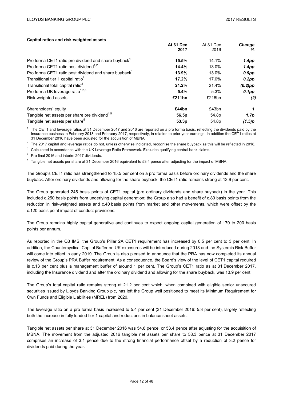## **Capital ratios and risk-weighted assets**

|                                                                   | At 31 Dec | At 31 Dec | <b>Change</b>     |
|-------------------------------------------------------------------|-----------|-----------|-------------------|
|                                                                   | 2017      | 2016      | ℅                 |
| Pro forma CET1 ratio pre dividend and share buyback <sup>1</sup>  | 15.5%     | 14.1%     | 1.4 <sub>pp</sub> |
| Pro forma CET1 ratio post dividend <sup>1,2</sup>                 | 14.4%     | 13.0%     | 1.4 <sub>pp</sub> |
| Pro forma CET1 ratio post dividend and share buyback <sup>1</sup> | 13.9%     | 13.0%     | $0.9$ pp          |
| Transitional tier 1 capital ratio <sup>2</sup>                    | 17.2%     | 17.0%     | $0.2$ pp          |
| Transitional total capital ratio <sup>2</sup>                     | 21.2%     | 21.4%     | $(0.2)$ pp        |
| Pro forma UK leverage ratio <sup>1,2,3</sup>                      | 5.4%      | 5.3%      | $0.1$ pp          |
| Risk-weighted assets                                              | £211bn    | £216bn    | (2)               |
| Shareholders' equity                                              | £44bn     | £43bn     | 1                 |
| Tangible net assets per share pre dividend <sup>4,5</sup>         | 56.5p     | 54.8p     | 1.7p              |
| Tangible net assets per share <sup>5</sup>                        | 53.3p     | 54.8p     | (1.5)p            |

<sup>1</sup> The CET1 and leverage ratios at 31 December 2017 and 2016 are reported on a pro forma basis, reflecting the dividends paid by the Insurance business in February 2018 and February 2017, respectively, in relation to prior year earnings. In addition the CET1 ratios at 31 December 2016 have been adjusted for the acquisition of MBNA.

 $2$  The 2017 capital and leverage ratios do not, unless otherwise indicated, recognise the share buyback as this will be reflected in 2018.

 $3$  Calculated in accordance with the UK Leverage Ratio Framework. Excludes qualifying central bank claims.

<sup>4</sup> Pre final 2016 and interim 2017 dividends.

<sup>5</sup> Tangible net assets per share at 31 December 2016 equivalent to 53.4 pence after adjusting for the impact of MBNA.

The Group's CET1 ratio has strengthened to 15.5 per cent on a pro forma basis before ordinary dividends and the share buyback. After ordinary dividends and allowing for the share buyback, the CET1 ratio remains strong at 13.9 per cent.

The Group generated 245 basis points of CET1 capital (pre ordinary dividends and share buyback) in the year. This included c.250 basis points from underlying capital generation; the Group also had a benefit of c.80 basis points from the reduction in risk-weighted assets and c.40 basis points from market and other movements, which were offset by the c.120 basis point impact of conduct provisions.

The Group remains highly capital generative and continues to expect ongoing capital generation of 170 to 200 basis points per annum.

As reported in the Q3 IMS, the Group's Pillar 2A CET1 requirement has increased by 0.5 per cent to 3 per cent. In addition, the Countercyclical Capital Buffer on UK exposures will be introduced during 2018 and the Systemic Risk Buffer will come into effect in early 2019. The Group is also pleased to announce that the PRA has now completed its annual review of the Group's PRA Buffer requirement. As a consequence, the Board's view of the level of CET1 capital required is c.13 per cent plus a management buffer of around 1 per cent. The Group's CET1 ratio as at 31 December 2017, including the Insurance dividend and after the ordinary dividend and allowing for the share buyback, was 13.9 per cent.

The Group's total capital ratio remains strong at 21.2 per cent which, when combined with eligible senior unsecured securities issued by Lloyds Banking Group plc, has left the Group well positioned to meet its Minimum Requirement for Own Funds and Eligible Liabilities (MREL) from 2020.

The leverage ratio on a pro forma basis increased to 5.4 per cent (31 December 2016: 5.3 per cent), largely reflecting both the increase in fully loaded tier 1 capital and reductions in balance sheet assets.

Tangible net assets per share at 31 December 2016 was 54.8 pence, or 53.4 pence after adjusting for the acquisition of MBNA. The movement from the adjusted 2016 tangible net assets per share to 53.3 pence at 31 December 2017 comprises an increase of 3.1 pence due to the strong financial performance offset by a reduction of 3.2 pence for dividends paid during the year.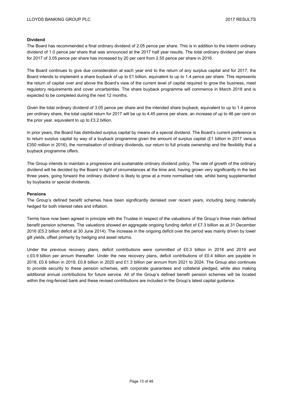## **Dividend**

The Board has recommended a final ordinary dividend of 2.05 pence per share. This is in addition to the interim ordinary dividend of 1.0 pence per share that was announced at the 2017 half year results. The total ordinary dividend per share for 2017 of 3.05 pence per share has increased by 20 per cent from 2.55 pence per share in 2016.

The Board continues to give due consideration at each year end to the return of any surplus capital and for 2017, the Board intends to implement a share buyback of up to £1 billion, equivalent to up to 1.4 pence per share. This represents the return of capital over and above the Board's view of the current level of capital required to grow the business, meet regulatory requirements and cover uncertainties. The share buyback programme will commence in March 2018 and is expected to be completed during the next 12 months.

Given the total ordinary dividend of 3.05 pence per share and the intended share buyback, equivalent to up to 1.4 pence per ordinary share, the total capital return for 2017 will be up to 4.45 pence per share, an increase of up to 46 per cent on the prior year, equivalent to up to £3.2 billion.

In prior years, the Board has distributed surplus capital by means of a special dividend. The Board's current preference is to return surplus capital by way of a buyback programme given the amount of surplus capital (£1 billion in 2017 versus £350 million in 2016), the normalisation of ordinary dividends, our return to full private ownership and the flexibility that a buyback programme offers.

The Group intends to maintain a progressive and sustainable ordinary dividend policy. The rate of growth of the ordinary dividend will be decided by the Board in light of circumstances at the time and, having grown very significantly in the last three years, going forward the ordinary dividend is likely to grow at a more normalised rate, whilst being supplemented by buybacks or special dividends.

## **Pensions**

The Group's defined benefit schemes have been significantly derisked over recent years, including being materially hedged for both interest rates and inflation.

Terms have now been agreed in principle with the Trustee in respect of the valuations of the Group's three main defined benefit pension schemes. The valuations showed an aggregate ongoing funding deficit of £7.3 billion as at 31 December 2016 (£5.2 billion deficit at 30 June 2014). The increase in the ongoing deficit over the period was mainly driven by lower gilt yields, offset primarily by hedging and asset returns.

Under the previous recovery plans, deficit contributions were committed of £0.3 billion in 2018 and 2019 and c.£0.9 billion per annum thereafter. Under the new recovery plans, deficit contributions of £0.4 billion are payable in 2018, £0.6 billion in 2019, £0.8 billion in 2020 and £1.3 billion per annum from 2021 to 2024. The Group also continues to provide security to these pension schemes, with corporate guarantees and collateral pledged, while also making additional annual contributions for future service. All of the Group's defined benefit pension schemes will be located within the ring-fenced bank and these revised contributions are included in the Group's latest capital guidance.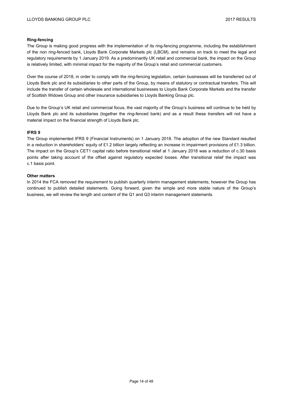## **Ring-fencing**

The Group is making good progress with the implementation of its ring-fencing programme, including the establishment of the non ring-fenced bank, Lloyds Bank Corporate Markets plc (LBCM), and remains on track to meet the legal and regulatory requirements by 1 January 2019. As a predominantly UK retail and commercial bank, the impact on the Group is relatively limited, with minimal impact for the majority of the Group's retail and commercial customers.

Over the course of 2018, in order to comply with the ring-fencing legislation, certain businesses will be transferred out of Lloyds Bank plc and its subsidiaries to other parts of the Group, by means of statutory or contractual transfers. This will include the transfer of certain wholesale and international businesses to Lloyds Bank Corporate Markets and the transfer of Scottish Widows Group and other insurance subsidiaries to Lloyds Banking Group plc.

Due to the Group's UK retail and commercial focus, the vast majority of the Group's business will continue to be held by Lloyds Bank plc and its subsidiaries (together the ring-fenced bank) and as a result these transfers will not have a material impact on the financial strength of Lloyds Bank plc.

## **IFRS 9**

The Group implemented IFRS 9 (Financial Instruments) on 1 January 2018. The adoption of the new Standard resulted in a reduction in shareholders' equity of £1.2 billion largely reflecting an increase in impairment provisions of £1.3 billion. The impact on the Group's CET1 capital ratio before transitional relief at 1 January 2018 was a reduction of c.30 basis points after taking account of the offset against regulatory expected losses. After transitional relief the impact was c.1 basis point.

## **Other matters**

In 2014 the FCA removed the requirement to publish quarterly interim management statements, however the Group has continued to publish detailed statements. Going forward, given the simple and more stable nature of the Group's business, we will review the length and content of the Q1 and Q3 interim management statements.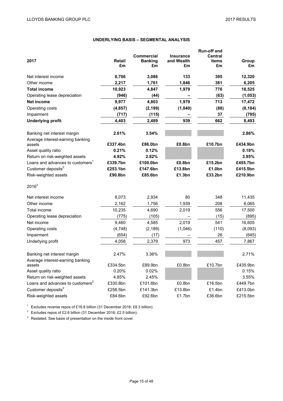# **UNDERLYING BASIS – SEGMENTAL ANALYSIS**

| 2017                                                            | <b>Retail</b><br>£m | Commercial<br><b>Banking</b><br>£m | <b>Insurance</b><br>and Wealth<br>£m | Run-off and<br><b>Central</b><br>items<br>£m | Group<br>£m |
|-----------------------------------------------------------------|---------------------|------------------------------------|--------------------------------------|----------------------------------------------|-------------|
| Net interest income                                             | 8,706               | 3,086                              | 133                                  | 395                                          | 12,320      |
| Other income                                                    | 2,217               | 1,761                              | 1,846                                | 381                                          | 6,205       |
| <b>Total income</b>                                             | 10,923              | 4,847                              | 1,979                                | 776                                          | 18,525      |
| Operating lease depreciation                                    | (946)               | (44)                               |                                      | (63)                                         | (1, 053)    |
| <b>Net income</b>                                               | 9,977               | 4,803                              | 1,979                                | 713                                          | 17,472      |
| Operating costs                                                 | (4, 857)            | (2, 199)                           | (1,040)                              | (88)                                         | (8, 184)    |
| Impairment                                                      | (717)               | (115)                              |                                      | 37                                           | (795)       |
| <b>Underlying profit</b>                                        | 4,403               | 2,489                              | 939                                  | 662                                          | 8,493       |
| Banking net interest margin<br>Average interest-earning banking | 2.61%               | 3.54%                              |                                      |                                              | 2.86%       |
| assets                                                          | £337.4bn            | £86.0bn                            | £0.8bn                               | £10.7bn                                      | £434.9bn    |
| Asset quality ratio                                             | 0.21%               | 0.12%                              |                                      |                                              | 0.18%       |
| Return on risk-weighted assets                                  | 4.92%               | 2.82%                              |                                      |                                              | 3.95%       |
| Loans and advances to customers <sup>1</sup>                    | £339.7bn            | £100.0bn                           | £0.8bn                               | £15.2bn                                      | £455.7bn    |
| Customer deposits <sup>2</sup>                                  | £253.1bn            | £147.6bn                           | £13.8bn                              | £1.0bn                                       | £415.5bn    |
| Risk-weighted assets                                            | £90.8bn             | £85.6bn                            | £1.3bn                               | £33.2bn                                      | £210.9bn    |
| $2016^3$                                                        |                     |                                    |                                      |                                              |             |
| Net interest income                                             | 8,073               | 2,934                              | 80                                   | 348                                          | 11,435      |
| Other income                                                    | 2,162               | 1,756                              | 1,939                                | 208                                          | 6,065       |
| Total income                                                    | 10,235              | 4,690                              | 2,019                                | 556                                          | 17,500      |
| Operating lease depreciation                                    | (775)               | (105)                              |                                      | (15)                                         | (895)       |
| Net income                                                      | 9,460               | 4,585                              | 2,019                                | 541                                          | 16,605      |
| Operating costs                                                 | (4,748)             | (2, 189)                           | (1,046)                              | (110)                                        | (8,093)     |
| Impairment                                                      | (654)               | (17)                               |                                      | 26                                           | (645)       |
| Underlying profit                                               | 4,058               | 2,379                              | 973                                  | 457                                          | 7,867       |
| Banking net interest margin                                     | 2.47%               | 3.36%                              |                                      |                                              | 2.71%       |
| Average interest-earning banking<br>assets                      | £334.5bn            | £89.9bn                            | £0.8bn                               | £10.7bn                                      | £435.9bn    |
| Asset quality ratio                                             | 0.20%               | 0.02%                              |                                      |                                              | 0.15%       |
| Return on risk-weighted assets                                  | 4.85%               | 2.45%                              |                                      |                                              | 3.55%       |
| Loans and advances to customers <sup>2</sup>                    | £330.8bn            | £101.6bn                           | £0.8bn                               | £16.5bn                                      | £449.7bn    |
| Customer deposits <sup>2</sup>                                  | £256.5bn            | £141.3bn                           | £13.8bn                              | £1.4bn                                       | £413.0bn    |
| Risk-weighted assets                                            | £84.6bn             | £92.6bn                            | £1.7bn                               | £36.6bn                                      | £215.5bn    |

<sup>1</sup> Excludes reverse repos of £16.8 billion (31 December 2016: £8.3 billion).

<sup>2</sup> Excludes repos of £2.6 billion (31 December 2016: £2.5 billion).

<sup>3</sup> Restated. See basis of presentation on the inside front cover.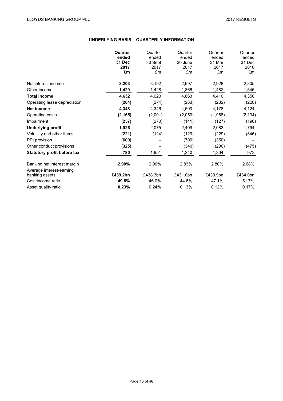# **UNDERLYING BASIS – QUARTERLY INFORMATION**

|                              | Quarter  | Quarter  | Quarter  | Quarter  | Quarter  |
|------------------------------|----------|----------|----------|----------|----------|
|                              | ended    | ended    | ended    | ended    | ended    |
|                              | 31 Dec   | 30 Sept  | 30 June  | 31 Mar   | 31 Dec   |
|                              | 2017     | 2017     | 2017     | 2017     | 2016     |
|                              | £m       | £m       | £m       | £m       | £m       |
| Net interest income          | 3,203    | 3,192    | 2,997    | 2,928    | 2,805    |
| Other income                 | 1,429    | 1,428    | 1,866    | 1,482    | 1,545    |
| <b>Total income</b>          | 4,632    | 4,620    | 4,863    | 4,410    | 4,350    |
| Operating lease depreciation | (284)    | (274)    | (263)    | (232)    | (226)    |
| <b>Net income</b>            | 4,348    | 4,346    | 4,600    | 4,178    | 4,124    |
| Operating costs              | (2, 165) | (2,001)  | (2,050)  | (1,968)  | (2, 134) |
| Impairment                   | (257)    | (270)    | (141)    | (127)    | (196)    |
| <b>Underlying profit</b>     | 1,926    | 2,075    | 2,409    | 2,083    | 1,794    |
| Volatility and other items   | (221)    | (124)    | (129)    | (229)    | (346)    |
| PPI provision                | (600)    |          | (700)    | (350)    |          |
| Other conduct provisions     | (325)    |          | (340)    | (200)    | (475)    |
| Statutory profit before tax  | 780      | 1,951    | 1,240    | 1,304    | 973      |
| Banking net interest margin  | 2.90%    | 2.90%    | 2.83%    | 2.80%    | 2.68%    |
| Average interest-earning     |          |          |          |          |          |
| banking assets               | £439.2bn | £438.3bn | £431.0bn | £430.9bn | £434.0bn |
| Cost: income ratio           | 49.8%    | 46.0%    | 44.6%    | 47.1%    | 51.7%    |
| Asset quality ratio          | 0.23%    | 0.24%    | 0.13%    | 0.12%    | 0.17%    |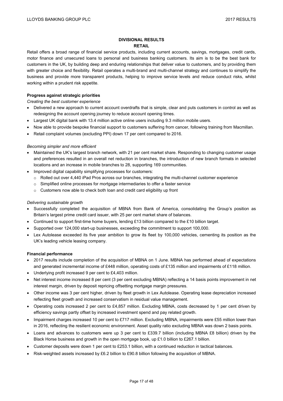## **DIVISIONAL RESULTS RETAIL**

Retail offers a broad range of financial service products, including current accounts, savings, mortgages, credit cards, motor finance and unsecured loans to personal and business banking customers. Its aim is to be the best bank for customers in the UK, by building deep and enduring relationships that deliver value to customers, and by providing them with greater choice and flexibility. Retail operates a multi-brand and multi-channel strategy and continues to simplify the business and provide more transparent products, helping to improve service levels and reduce conduct risks, whilst working within a prudent risk appetite.

## **Progress against strategic priorities**

*Creating the best customer experience* 

- Delivered a new approach to current account overdrafts that is simple, clear and puts customers in control as well as redesigning the account opening journey to reduce account opening times.
- Largest UK digital bank with 13.4 million active online users including 9.3 million mobile users.
- Now able to provide bespoke financial support to customers suffering from cancer, following training from Macmillan.
- Retail complaint volumes (excluding PPI) down 17 per cent compared to 2016.

## *Becoming simpler and more efficient*

- Maintained the UK's largest branch network, with 21 per cent market share. Responding to changing customer usage and preferences resulted in an overall net reduction in branches, the introduction of new branch formats in selected locations and an increase in mobile branches to 28, supporting 169 communities.
- Improved digital capability simplifying processes for customers:
	- $\circ$  Rolled out over 4,440 iPad Pros across our branches, integrating the multi-channel customer experience
	- $\circ$  Simplified online processes for mortgage intermediaries to offer a faster service
	- o Customers now able to check both loan and credit card eligibility up front

## *Delivering sustainable growth*

- Successfully completed the acquisition of MBNA from Bank of America, consolidating the Group's position as Britain's largest prime credit card issuer, with 25 per cent market share of balances.
- Continued to support first-time home buyers, lending £13 billion compared to the £10 billion target.
- Supported over 124,000 start-up businesses, exceeding the commitment to support 100,000.
- Lex Autolease exceeded its five year ambition to grow its fleet by 100,000 vehicles, cementing its position as the UK's leading vehicle leasing company.

## **Financial performance**

- 2017 results include completion of the acquisition of MBNA on 1 June. MBNA has performed ahead of expectations and generated incremental income of £448 million, operating costs of £135 million and impairments of £118 million.
- Underlying profit increased 9 per cent to £4,403 million.
- Net interest income increased 8 per cent (3 per cent excluding MBNA) reflecting a 14 basis points improvement in net interest margin, driven by deposit repricing offsetting mortgage margin pressures.
- Other income was 3 per cent higher, driven by fleet growth in Lex Autolease. Operating lease depreciation increased reflecting fleet growth and increased conservatism in residual value management.
- Operating costs increased 2 per cent to £4,857 million. Excluding MBNA, costs decreased by 1 per cent driven by efficiency savings partly offset by increased investment spend and pay related growth.
- Impairment charges increased 10 per cent to £717 million. Excluding MBNA, impairments were £55 million lower than in 2016, reflecting the resilient economic environment. Asset quality ratio excluding MBNA was down 2 basis points.
- Loans and advances to customers were up 3 per cent to £339.7 billion (including MBNA £8 billion) driven by the Black Horse business and growth in the open mortgage book, up £1.0 billion to £267.1 billion.
- Customer deposits were down 1 per cent to £253.1 billion, with a continued reduction in tactical balances.
- Risk-weighted assets increased by £6.2 billion to £90.8 billion following the acquisition of MBNA.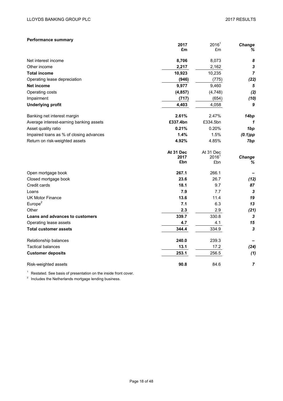| Performance summary |
|---------------------|
|---------------------|

|                                         | 2017        | 2016 <sup>1</sup>        | Change         |
|-----------------------------------------|-------------|--------------------------|----------------|
|                                         | £m          | £m                       | %              |
| Net interest income                     | 8,706       | 8,073                    | 8              |
| Other income                            | 2,217       | 2,162                    | 3              |
| <b>Total income</b>                     | 10,923      | 10,235                   | $\overline{7}$ |
| Operating lease depreciation            | (946)       | (775)                    | (22)           |
| <b>Net income</b>                       | 9,977       | 9,460                    | 5              |
| Operating costs                         | (4, 857)    | (4,748)                  | (2)            |
| Impairment                              | (717)       | (654)                    | (10)           |
| <b>Underlying profit</b>                | 4,403       | 4,058                    | 9              |
| Banking net interest margin             | 2.61%       | 2.47%                    | 14bp           |
| Average interest-earning banking assets | £337.4bn    | £334.5bn                 | 1              |
| Asset quality ratio                     | 0.21%       | 0.20%                    | 1bp            |
| Impaired loans as % of closing advances | 1.4%        | 1.5%                     | $(0.1)$ pp     |
| Return on risk-weighted assets          | 4.92%       | 4.85%                    | 7bp            |
|                                         | At 31 Dec   | At 31 Dec                |                |
|                                         | 2017<br>£bn | 2016 <sup>1</sup><br>£bn | Change<br>℅    |
|                                         |             |                          |                |
| Open mortgage book                      | 267.1       | 266.1                    |                |
| Closed mortgage book                    | 23.6        | 26.7                     | (12)           |
| Credit cards                            | 18.1        | 9.7                      | 87             |
| Loans                                   | 7.9         | 7.7                      | 3              |
| <b>UK Motor Finance</b>                 | 13.6        | 11.4                     | 19             |
| Europe $2$                              | 7.1         | 6.3                      | 13             |
| Other                                   | 2.3         | 2.9                      | (21)           |
| Loans and advances to customers         | 339.7       | 330.8                    | 3              |
| Operating lease assets                  | 4.7         | 4.1                      | 15             |
| <b>Total customer assets</b>            | 344.4       | 334.9                    | 3              |
| Relationship balances                   | 240.0       | 239.3                    |                |
| <b>Tactical balances</b>                | 13.1        | 17.2                     | (24)           |
| <b>Customer deposits</b>                | 253.1       | 256.5                    | (1)            |
| Risk-weighted assets                    | 90.8        | 84.6                     | $\overline{7}$ |

 $1$  Restated. See basis of presentation on the inside front cover.

<sup>2</sup> Includes the Netherlands mortgage lending business.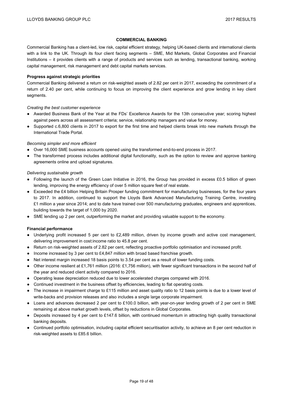## **COMMERCIAL BANKING**

Commercial Banking has a client-led, low risk, capital efficient strategy, helping UK-based clients and international clients with a link to the UK. Through its four client facing segments – SME, Mid Markets, Global Corporates and Financial Institutions – it provides clients with a range of products and services such as lending, transactional banking, working capital management, risk management and debt capital markets services.

## **Progress against strategic priorities**

Commercial Banking delivered a return on risk-weighted assets of 2.82 per cent in 2017, exceeding the commitment of a return of 2.40 per cent, while continuing to focus on improving the client experience and grow lending in key client segments.

## *Creating the best customer experience*

- Awarded Business Bank of the Year at the FDs' Excellence Awards for the 13th consecutive year; scoring highest against peers across all assessment criteria; service, relationship managers and value for money.
- Supported c.6,800 clients in 2017 to export for the first time and helped clients break into new markets through the International Trade Portal.

## *Becoming simpler and more efficient*

- Over 16,000 SME business accounts opened using the transformed end-to-end process in 2017.
- The transformed process includes additional digital functionality, such as the option to review and approve banking agreements online and upload signatures.

## *Delivering sustainable growth*

- Following the launch of the Green Loan Initiative in 2016, the Group has provided in excess £0.5 billion of green lending, improving the energy efficiency of over 5 million square feet of real estate.
- Exceeded the £4 billion Helping Britain Prosper funding commitment for manufacturing businesses, for the four years to 2017. In addition, continued to support the Lloyds Bank Advanced Manufacturing Training Centre, investing £1 million a year since 2014; and to date have trained over 500 manufacturing graduates, engineers and apprentices, building towards the target of 1,000 by 2020.
- SME lending up 2 per cent, outperforming the market and providing valuable support to the economy.

## **Financial performance**

- Underlying profit increased 5 per cent to £2,489 million, driven by income growth and active cost management, delivering improvement in cost:income ratio to 45.8 per cent.
- Return on risk-weighted assets of 2.82 per cent, reflecting proactive portfolio optimisation and increased profit.
- $\bullet$  Income increased by 3 per cent to £4,847 million with broad based franchise growth.
- Net interest margin increased 18 basis points to 3.54 per cent as a result of lower funding costs.
- Other income resilient at £1,761 million (2016: £1,756 million), with fewer significant transactions in the second half of the year and reduced client activity compared to 2016.
- Operating lease depreciation reduced due to lower accelerated charges compared with 2016.
- Continued investment in the business offset by efficiencies, leading to flat operating costs.
- The increase in impairment charge to £115 million and asset quality ratio to 12 basis points is due to a lower level of write-backs and provision releases and also includes a single large corporate impairment.
- Loans and advances decreased 2 per cent to £100.0 billion, with year-on-year lending growth of 2 per cent in SME remaining at above market growth levels, offset by reductions in Global Corporates.
- Deposits increased by 4 per cent to £147.6 billion, with continued momentum in attracting high quality transactional banking deposits.
- Continued portfolio optimisation, including capital efficient securitisation activity, to achieve an 8 per cent reduction in risk-weighted assets to £85.6 billion.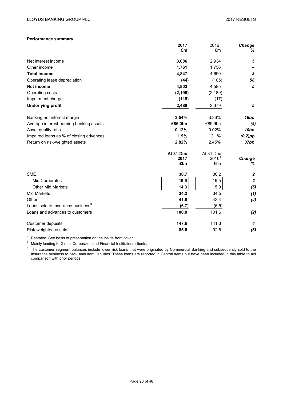## **Performance summary**

|                                               | 2017      | 2016 <sup>1</sup> | Change           |
|-----------------------------------------------|-----------|-------------------|------------------|
|                                               | £m        | £m                | ℅                |
| Net interest income                           | 3,086     | 2,934             | 5                |
| Other income                                  | 1,761     | 1,756             |                  |
| <b>Total income</b>                           | 4,847     | 4,690             | 3                |
| Operating lease depreciation                  | (44)      | (105)             | 58               |
| <b>Net income</b>                             | 4,803     | 4,585             | 5                |
| Operating costs                               | (2, 199)  | (2, 189)          |                  |
| Impairment charge                             | (115)     | (17)              |                  |
| <b>Underlying profit</b>                      | 2,489     | 2,379             | 5                |
| Banking net interest margin                   | 3.54%     | 3.36%             | 18bp             |
| Average interest-earning banking assets       | £86.0bn   | £89.9bn           | (4)              |
| Asset quality ratio                           | 0.12%     | 0.02%             | 10 <sub>bp</sub> |
| Impaired loans as % of closing advances       | 1.9%      | 2.1%              | $(0.2)$ pp       |
| Return on risk-weighted assets                | 2.82%     | 2.45%             | 37bp             |
|                                               | At 31 Dec | At 31 Dec         |                  |
|                                               | 2017      | 2016 <sup>1</sup> | Change           |
|                                               | £bn       | £bn               | ℅                |
| <b>SME</b>                                    | 30.7      | 30.2              | $\boldsymbol{2}$ |
| Mid Corporates                                | 19.9      | 19.5              | $\boldsymbol{2}$ |
| <b>Other Mid Markets</b>                      | 14.3      | 15.0              | (5)              |
| <b>Mid Markets</b>                            | 34.2      | 34.5              | (1)              |
| Other $2$                                     | 41.8      | 43.4              | (4)              |
| Loans sold to Insurance business <sup>3</sup> | (6.7)     | (6.5)             |                  |
| Loans and advances to customers               | 100.0     | 101.6             | (2)              |
| Customer deposits                             | 147.6     | 141.3             | 4                |
| Risk-weighted assets                          | 85.6      | 92.6              | (8)              |

<sup>1</sup> Restated. See basis of presentation on the inside front cover.

<sup>2</sup> Mainly lending to Global Corporates and Financial Institutions clients.<br><sup>3</sup> The customer segment belances include lower risk leaps that were

 $3$  The customer segment balances include lower risk loans that were originated by Commercial Banking and subsequently sold to the Insurance business to back annuitant liabilities. These loans are reported in Central items but have been included in this table to aid comparison with prior periods.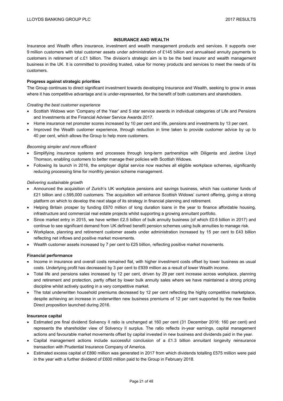## **INSURANCE AND WEALTH**

Insurance and Wealth offers insurance, investment and wealth management products and services. It supports over 9 million customers with total customer assets under administration of £145 billion and annualised annuity payments to customers in retirement of c.£1 billion. The division's strategic aim is to be the best insurer and wealth management business in the UK. It is committed to providing trusted, value for money products and services to meet the needs of its customers.

## **Progress against strategic priorities**

The Group continues to direct significant investment towards developing Insurance and Wealth, seeking to grow in areas where it has competitive advantage and is under-represented, for the benefit of both customers and shareholders.

## *Creating the best customer experience*

- Scottish Widows won 'Company of the Year' and 5 star service awards in individual categories of Life and Pensions and Investments at the Financial Adviser Service Awards 2017.
- Home insurance net promoter scores increased by 10 per cent and life, pensions and investments by 13 per cent.
- Improved the Wealth customer experience, through reduction in time taken to provide customer advice by up to 40 per cent, which allows the Group to help more customers.

## *Becoming simpler and more efficient*

- Simplifying insurance systems and processes through long-term partnerships with Diligenta and Jardine Lloyd Thomson, enabling customers to better manage their policies with Scottish Widows.
- Following its launch in 2016, the employer digital service now reaches all eligible workplace schemes, significantly reducing processing time for monthly pension scheme management.

## *Delivering sustainable growth*

- Announced the acquisition of Zurich's UK workplace pensions and savings business, which has customer funds of £21 billion and c.595,000 customers. The acquisition will enhance Scottish Widows' current offering, giving a strong platform on which to develop the next stage of its strategy in financial planning and retirement.
- Helping Britain prosper by funding £670 million of long duration loans in the year to finance affordable housing, infrastructure and commercial real estate projects whilst supporting a growing annuitant portfolio.
- Since market entry in 2015, we have written £2.5 billion of bulk annuity business (of which £0.6 billion in 2017) and continue to see significant demand from UK defined benefit pension schemes using bulk annuities to manage risk.
- Workplace, planning and retirement customer assets under administration increased by 15 per cent to £43 billion reflecting net inflows and positive market movements.
- Wealth customer assets increased by 7 per cent to £25 billion, reflecting positive market movements.

## **Financial performance**

- Income in insurance and overall costs remained flat, with higher investment costs offset by lower business as usual costs. Underlying profit has decreased by 3 per cent to £939 million as a result of lower Wealth income.
- Total life and pensions sales increased by 12 per cent, driven by 29 per cent increase across workplace, planning and retirement and protection, partly offset by lower bulk annuity sales where we have maintained a strong pricing discipline whilst actively quoting in a very competitive market.
- The total underwritten household premiums decreased by 12 per cent reflecting the highly competitive marketplace, despite achieving an increase in underwritten new business premiums of 12 per cent supported by the new flexible Direct proposition launched during 2016.

## **Insurance capital**

- Estimated pre final dividend Solvency II ratio is unchanged at 160 per cent (31 December 2016: 160 per cent) and represents the shareholder view of Solvency II surplus. The ratio reflects in-year earnings, capital management actions and favourable market movements offset by capital invested in new business and dividends paid in the year.
- Capital management actions include successful conclusion of a £1.3 billion annuitant longevity reinsurance transaction with Prudential Insurance Company of America.
- Estimated excess capital of £890 million was generated in 2017 from which dividends totalling £575 million were paid in the year with a further dividend of £600 million paid to the Group in February 2018.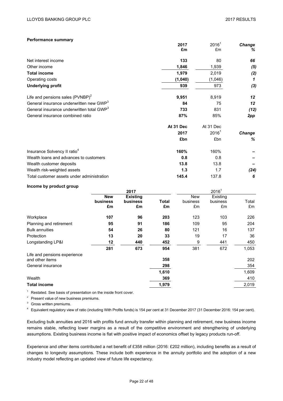## **Performance summary**

|                                                       | 2017<br>£m | 2016 <sup>1</sup><br>£m | Change<br>% |
|-------------------------------------------------------|------------|-------------------------|-------------|
| Net interest income                                   | 133        | 80                      | 66          |
| Other income                                          | 1,846      | 1,939                   | (5)         |
| <b>Total income</b>                                   | 1,979      | 2,019                   | (2)         |
| Operating costs                                       | (1,040)    | (1,046)                 | 1           |
| <b>Underlying profit</b>                              | 939        | 973                     | (3)         |
| Life and pensions sales $(PVNBP)^2$                   | 9,951      | 8,919                   | 12          |
| General insurance underwritten new GWP <sup>3</sup>   | 84         | 75                      | 12          |
| General insurance underwritten total GWP <sup>3</sup> | 733        | 831                     | (12)        |
| General insurance combined ratio                      | 87%        | 85%                     | 2pp         |
|                                                       | At 31 Dec  | At 31 Dec               |             |
|                                                       | 2017       | 2016 <sup>1</sup>       | Change      |
|                                                       | £bn        | £bn                     | %           |
| Insurance Solvency II ratio <sup>4</sup>              | 160%       | 160%                    |             |
| Wealth loans and advances to customers                | 0.8        | 0.8                     |             |
| Wealth customer deposits                              | 13.8       | 13.8                    |             |
| Wealth risk-weighted assets                           | 1.3        | 1.7                     | (24)        |
| Total customer assets under administration            | 145.4      | 137.8                   | 6           |

#### **Income by product group**

|                              | 2017            |                 | 2016 <sup>1</sup> |            |          |       |
|------------------------------|-----------------|-----------------|-------------------|------------|----------|-------|
|                              | <b>New</b>      | <b>Existing</b> |                   | <b>New</b> | Existing |       |
|                              | <b>business</b> | <b>business</b> | Total             | business   | business | Total |
|                              | £m              | £m              | £m                | £m         | £m       | £m    |
| Workplace                    | 107             | 96              | 203               | 123        | 103      | 226   |
| Planning and retirement      | 95              | 91              | 186               | 109        | 95       | 204   |
| <b>Bulk annuities</b>        | 54              | 26              | 80                | 121        | 16       | 137   |
| Protection                   | 13              | 20              | 33                | 19         | 17       | 36    |
| Longstanding LP&I            | 12              | 440             | 452               | 9          | 441      | 450   |
|                              | 281             | 673             | 954               | 381        | 672      | 1,053 |
| Life and pensions experience |                 |                 |                   |            |          |       |
| and other items              |                 |                 | 358               |            |          | 202   |
| General insurance            |                 |                 | 298               |            |          | 354   |
|                              |                 |                 | 1,610             |            |          | 1,609 |
| Wealth                       |                 |                 | 369               |            |          | 410   |
| <b>Total income</b>          |                 |                 | 1,979             |            |          | 2,019 |
|                              |                 |                 |                   |            |          |       |

<sup>1</sup> Restated. See basis of presentation on the inside front cover.

<sup>2</sup> Present value of new business premiums.

<sup>3</sup> Gross written premiums.

<sup>4</sup> Equivalent regulatory view of ratio (including With Profits funds) is 154 per cent at 31 December 2017 (31 December 2016: 154 per cent).

Excluding bulk annuities and 2016 with profits fund annuity transfer within planning and retirement, new business income remains stable, reflecting lower margins as a result of the competitive environment and strengthening of underlying assumptions. Existing business income is flat with positive impact of economics offset by legacy products run-off.

Experience and other items contributed a net benefit of £358 million (2016: £202 million), including benefits as a result of changes to longevity assumptions. These include both experience in the annuity portfolio and the adoption of a new industry model reflecting an updated view of future life expectancy.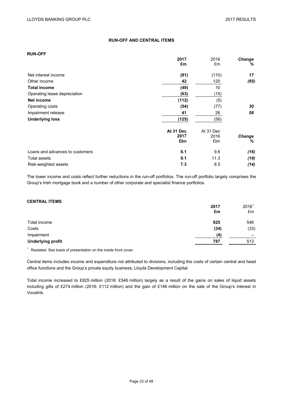## **RUN-OFF AND CENTRAL ITEMS**

## **RUN-OFF**

|                                 | 2017      | 2016      | <b>Change</b> |
|---------------------------------|-----------|-----------|---------------|
|                                 | £m        | £m        | ℅             |
| Net interest income             | (91)      | (110)     | 17            |
| Other income                    | 42        | 120       | (65)          |
| <b>Total income</b>             | (49)      | 10        |               |
| Operating lease depreciation    | (63)      | (15)      |               |
| Net income                      | (112)     | (5)       |               |
| Operating costs                 | (54)      | (77)      | 30            |
| Impairment release              | 41        | 26        | 58            |
| <b>Underlying loss</b>          | (125)     | (56)      |               |
|                                 | At 31 Dec | At 31 Dec |               |
|                                 | 2017      | 2016      | Change        |
|                                 | £bn       | £bn       | %             |
| Loans and advances to customers | 8.1       | 9.6       | (16)          |
| Total assets                    | 9.1       | 11.3      | (19)          |
| Risk-weighted assets            | 7.3       | 8.5       | (14)          |

The lower income and costs reflect further reductions in the run-off portfolios. The run-off portfolio largely comprises the Group's Irish mortgage book and a number of other corporate and specialist finance portfolios.

# **CENTRAL ITEMS**

|                          | 2017<br>£m | 2016 <sup>1</sup><br>£m  |
|--------------------------|------------|--------------------------|
| Total income             | 825        | 546                      |
| Costs                    | (34)       | (33)                     |
| Impairment               | (4)        | $\overline{\phantom{0}}$ |
| <b>Underlying profit</b> | 787        | 513                      |

 $1$  Restated. See basis of presentation on the inside front cover.

Central items includes income and expenditure not attributed to divisions, including the costs of certain central and head office functions and the Group's private equity business, Lloyds Development Capital.

Total income increased to £825 million (2016: £546 million) largely as a result of the gains on sales of liquid assets including gilts of £274 million (2016: £112 million) and the gain of £146 million on the sale of the Group's interest in Vocalink.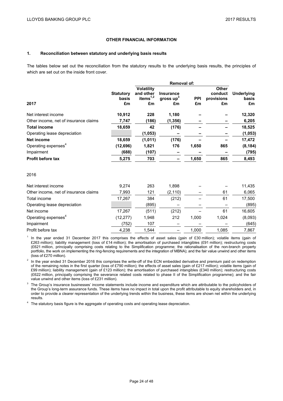## **OTHER FINANCIAL INFORMATION**

## **1. Reconciliation between statutory and underlying basis results**

The tables below set out the reconciliation from the statutory results to the underlying basis results, the principles of which are set out on the inside front cover.

|                                       | Removal of:      |                      |                  |            |              |                   |
|---------------------------------------|------------------|----------------------|------------------|------------|--------------|-------------------|
|                                       |                  | <b>Volatility</b>    |                  |            | <b>Other</b> |                   |
|                                       | <b>Statutory</b> | and other            | <b>Insurance</b> |            | conduct      | <b>Underlying</b> |
|                                       | basis            | items <sup>1,2</sup> | gross $up3$      | <b>PPI</b> | provisions   | basis             |
| 2017                                  | £m               | £m                   | £m               | £m         | £m           | £m                |
| Net interest income                   | 10,912           | 228                  | 1,180            |            |              | 12,320            |
| Other income, net of insurance claims | 7,747            | (186)                | (1, 356)         |            |              | 6,205             |
| <b>Total income</b>                   | 18,659           | 42                   | (176)            |            |              | 18,525            |
| Operating lease depreciation          |                  | (1, 053)             |                  |            |              | (1, 053)          |
| <b>Net income</b>                     | 18,659           | (1,011)              | (176)            |            |              | 17,472            |
| Operating expenses <sup>4</sup>       | (12, 696)        | 1,821                | 176              | 1,650      | 865          | (8, 184)          |
| Impairment                            | (688)            | (107)                |                  |            |              | (795)             |
| <b>Profit before tax</b>              | 5,275            | 703                  |                  | 1,650      | 865          | 8,493             |
| 2016                                  |                  |                      |                  |            |              |                   |
| Net interest income                   | 9,274            | 263                  | 1,898            |            |              | 11,435            |
| Other income, net of insurance claims | 7,993            | 121                  | (2, 110)         |            | 61           | 6,065             |
| Total income                          | 17,267           | 384                  | (212)            |            | 61           | 17,500            |
| Operating lease depreciation          |                  | (895)                |                  |            |              | (895)             |
| Net income                            | 17,267           | (511)                | (212)            |            | 61           | 16,605            |
| Operating expenses <sup>4</sup>       | (12, 277)        | 1,948                | 212              | 1,000      | 1,024        | (8,093)           |
| Impairment                            | (752)            | 107                  |                  |            |              | (645)             |
| Profit before tax                     | 4,238            | 1,544                | —                | 1,000      | 1,085        | 7,867             |

In the vear ended 31 December 2017 this comprises the effects of asset sales (gain of £30 million); volatile items (gain of £263 million); liability management (loss of £14 million); the amortisation of purchased intangibles (£91 million); restructuring costs (£621 million, principally comprising costs relating to the Simplification programme; the rationalisation of the non-branch property portfolio, the work on implementing the ring-fencing requirements and the integration of MBNA); and the fair value unwind and other items (loss of £270 million).

<sup>2</sup> In the year ended 31 December 2016 this comprises the write-off of the ECN embedded derivative and premium paid on redemption of the remaining notes in the first quarter (loss of £790 million); the effects of asset sales (gain of £217 million); volatile items (gain of £99 million); liability management (gain of £123 million); the amortisation of purchased intangibles (£340 million); restructuring costs (£622 million, principally comprising the severance related costs related to phase II of the Simplification programme); and the fair value unwind and other items (loss of £231 million).

<sup>3</sup> The Group's insurance businesses' income statements include income and expenditure which are attributable to the policyholders of the Group's long-term assurance funds. These items have no impact in total upon the profit attributable to equity shareholders and, in order to provide a clearer representation of the underlying trends within the business, these items are shown net within the underlying results.

<sup>4</sup> The statutory basis figure is the aggregate of operating costs and operating lease depreciation.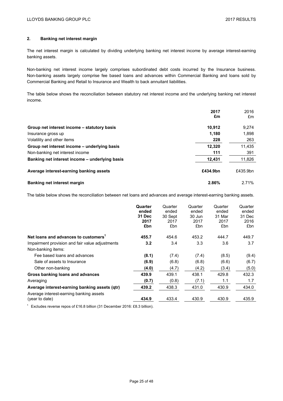## **2. Banking net interest margin**

The net interest margin is calculated by dividing underlying banking net interest income by average interest-earning banking assets.

Non-banking net interest income largely comprises subordinated debt costs incurred by the Insurance business. Non-banking assets largely comprise fee based loans and advances within Commercial Banking and loans sold by Commercial Banking and Retail to Insurance and Wealth to back annuitant liabilities.

The table below shows the reconciliation between statutory net interest income and the underlying banking net interest income.

|                                                | 2017<br>£m | 2016<br>£m |
|------------------------------------------------|------------|------------|
| Group net interest income – statutory basis    | 10.912     | 9.274      |
| Insurance gross up                             | 1,180      | 1,898      |
| Volatility and other items                     | 228        | 263        |
| Group net interest income – underlying basis   | 12.320     | 11,435     |
| Non-banking net interest income                | 111        | 391        |
| Banking net interest income - underlying basis | 12,431     | 11,826     |
| Average interest-earning banking assets        | £434.9bn   | £435.9bn   |
| <b>Banking net interest margin</b>             | 2.86%      | 2.71%      |

The table below shows the reconciliation between net loans and advances and average interest-earning banking assets.

|                                                           | Quarter<br>ended<br><b>31 Dec</b><br>2017<br>£bn | Quarter<br>ended<br>30 Sept<br>2017<br>£bn | Quarter<br>ended<br>30 Jun<br>2017<br>£bn | Quarter<br>ended<br>31 Mar<br>2017<br>£bn | Quarter<br>ended<br>31 Dec<br>2016<br>£bn |
|-----------------------------------------------------------|--------------------------------------------------|--------------------------------------------|-------------------------------------------|-------------------------------------------|-------------------------------------------|
| Net loans and advances to customers <sup>1</sup>          | 455.7                                            | 454.6                                      | 453.2                                     | 444.7                                     | 449.7                                     |
| Impairment provision and fair value adjustments           | 3.2                                              | 3.4                                        | 3.3                                       | 3.6                                       | 3.7                                       |
| Non-banking items:                                        |                                                  |                                            |                                           |                                           |                                           |
| Fee based loans and advances                              | (8.1)                                            | (7.4)                                      | (7.4)                                     | (8.5)                                     | (9.4)                                     |
| Sale of assets to Insurance                               | (6.9)                                            | (6.8)                                      | (6.8)                                     | (6.6)                                     | (6.7)                                     |
| Other non-banking                                         | (4.0)                                            | (4.7)                                      | (4.2)                                     | (3.4)                                     | (5.0)                                     |
| Gross banking loans and advances                          | 439.9                                            | 439.1                                      | 438.1                                     | 429.8                                     | 432.3                                     |
| Averaging                                                 | (0.7)                                            | (0.8)                                      | (7.1)                                     | 1.1                                       | 1.7                                       |
| Average interest-earning banking assets (qtr)             | 439.2                                            | 438.3                                      | 431.0                                     | 430.9                                     | 434.0                                     |
| Average interest-earning banking assets<br>(year to date) | 434.9                                            | 433.4                                      | 430.9                                     | 430.9                                     | 435.9                                     |

<sup>1</sup> Excludes reverse repos of £16.8 billion (31 December 2016: £8.3 billion).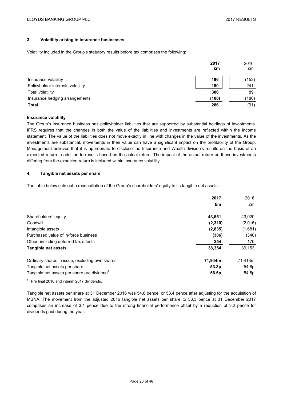# **3. Volatility arising in insurance businesses**

Volatility included in the Group's statutory results before tax comprises the following:

|                                   | 2017<br>£m | 2016<br>£m |
|-----------------------------------|------------|------------|
| Insurance volatility              | 196        | (152)      |
| Policyholder interests volatility | 190        | 241        |
| <b>Total volatility</b>           | 386        | 89         |
| Insurance hedging arrangements    | (100)      | (180)      |
| Total                             | 286        | (91)       |

## **Insurance volatility**

The Group's insurance business has policyholder liabilities that are supported by substantial holdings of investments. IFRS requires that the changes in both the value of the liabilities and investments are reflected within the income statement. The value of the liabilities does not move exactly in line with changes in the value of the investments. As the investments are substantial, movements in their value can have a significant impact on the profitability of the Group. Management believes that it is appropriate to disclose the Insurance and Wealth division's results on the basis of an expected return in addition to results based on the actual return. The impact of the actual return on these investments differing from the expected return is included within insurance volatility.

## **4. Tangible net assets per share**

The table below sets out a reconciliation of the Group's shareholders' equity to its tangible net assets.

|                                                         | 2017    | 2016    |
|---------------------------------------------------------|---------|---------|
|                                                         | £m      | £m      |
| Shareholders' equity                                    | 43,551  | 43,020  |
| Goodwill                                                | (2,310) | (2,016) |
| Intangible assets                                       | (2,835) | (1,681) |
| Purchased value of in-force business                    | (306)   | (340)   |
| Other, including deferred tax effects                   | 254     | 170     |
| <b>Tangible net assets</b>                              | 38,354  | 39,153  |
| Ordinary shares in issue, excluding own shares          | 71,944m | 71.413m |
| Tangible net assets per share                           | 53.3p   | 54.8p   |
| Tangible net assets per share pre dividend <sup>1</sup> | 56.5p   | 54.8p   |
|                                                         |         |         |

Pre final 2016 and interim 2017 dividends.

Tangible net assets per share at 31 December 2016 was 54.8 pence, or 53.4 pence after adjusting for the acquisition of MBNA. The movement from the adjusted 2016 tangible net assets per share to 53.3 pence at 31 December 2017 comprises an increase of 3.1 pence due to the strong financial performance offset by a reduction of 3.2 pence for dividends paid during the year.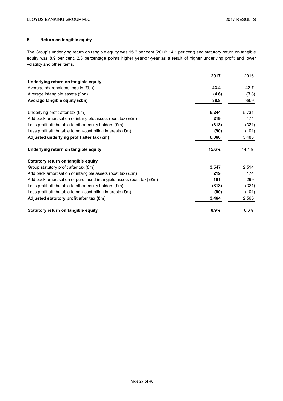# **5. Return on tangible equity**

The Group's underlying return on tangible equity was 15.6 per cent (2016: 14.1 per cent) and statutory return on tangible equity was 8.9 per cent, 2.3 percentage points higher year-on-year as a result of higher underlying profit and lower volatility and other items.

|                                                                      | 2017  | 2016  |
|----------------------------------------------------------------------|-------|-------|
| Underlying return on tangible equity                                 |       |       |
| Average shareholders' equity (£bn)                                   | 43.4  | 42.7  |
| Average intangible assets (£bn)                                      | (4.6) | (3.8) |
| Average tangible equity (£bn)                                        | 38.8  | 38.9  |
| Underlying profit after tax (£m)                                     | 6,244 | 5,731 |
| Add back amortisation of intangible assets (post tax) (£m)           | 219   | 174   |
| Less profit attributable to other equity holders $(\text{Em})$       | (313) | (321) |
| Less profit attributable to non-controlling interests $(\text{Em})$  | (90)  | (101) |
| Adjusted underlying profit after tax (£m)                            | 6,060 | 5,483 |
| Underlying return on tangible equity                                 | 15.6% | 14.1% |
| Statutory return on tangible equity                                  |       |       |
| Group statutory profit after tax (£m)                                | 3,547 | 2,514 |
| Add back amortisation of intangible assets (post tax) (£m)           | 219   | 174   |
| Add back amortisation of purchased intangible assets (post tax) (£m) | 101   | 299   |
| Less profit attributable to other equity holders (£m)                | (313) | (321) |
| Less profit attributable to non-controlling interests $(\text{Em})$  | (90)  | (101) |
| Adjusted statutory profit after tax (£m)                             | 3,464 | 2,565 |
| Statutory return on tangible equity                                  | 8.9%  | 6.6%  |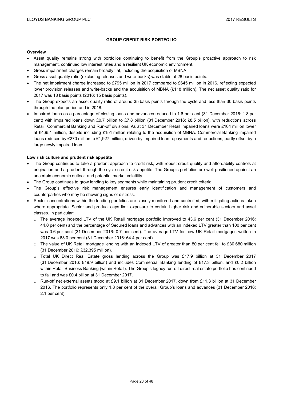# **GROUP CREDIT RISK PORTFOLIO**

#### **Overview**

- Asset quality remains strong with portfolios continuing to benefit from the Group's proactive approach to risk management, continued low interest rates and a resilient UK economic environment.
- Gross impairment charges remain broadly flat, including the acquisition of MBNA.
- Gross asset quality ratio (excluding releases and write-backs) was stable at 28 basis points.
- The net impairment charge increased to £795 million in 2017 compared to £645 million in 2016, reflecting expected lower provision releases and write-backs and the acquisition of MBNA (£118 million). The net asset quality ratio for 2017 was 18 basis points (2016: 15 basis points).
- The Group expects an asset quality ratio of around 35 basis points through the cycle and less than 30 basis points through the plan period and in 2018.
- Impaired loans as a percentage of closing loans and advances reduced to 1.6 per cent (31 December 2016: 1.8 per cent) with impaired loans down £0.7 billion to £7.8 billion (31 December 2016: £8.5 billion), with reductions across Retail, Commercial Banking and Run-off divisions. As at 31 December Retail impaired loans were £104 million lower at £4,951 million, despite including £151 million relating to the acquisition of MBNA. Commercial Banking impaired loans reduced by £270 million to £1,927 million, driven by impaired loan repayments and reductions, partly offset by a large newly impaired loan.

## **Low risk culture and prudent risk appetite**

- The Group continues to take a prudent approach to credit risk, with robust credit quality and affordability controls at origination and a prudent through the cycle credit risk appetite. The Group's portfolios are well positioned against an uncertain economic outlook and potential market volatility.
- The Group continues to grow lending to key segments while maintaining prudent credit criteria.
- The Group's effective risk management ensures early identification and management of customers and counterparties who may be showing signs of distress.
- Sector concentrations within the lending portfolios are closely monitored and controlled, with mitigating actions taken where appropriate. Sector and product caps limit exposure to certain higher risk and vulnerable sectors and asset classes. In particular:
	- o The average indexed LTV of the UK Retail mortgage portfolio improved to 43.6 per cent (31 December 2016: 44.0 per cent) and the percentage of Secured loans and advances with an indexed LTV greater than 100 per cent was 0.6 per cent (31 December 2016: 0.7 per cent). The average LTV for new UK Retail mortgages written in 2017 was 63.0 per cent (31 December 2016: 64.4 per cent).
	- $\circ$  The value of UK Retail mortgage lending with an indexed LTV of greater than 80 per cent fell to £30,680 million (31 December 2016: £32,395 million).
	- o Total UK Direct Real Estate gross lending across the Group was £17.9 billion at 31 December 2017 (31 December 2016: £19.9 billion) and includes Commercial Banking lending of £17.3 billion, and £0.2 billion within Retail Business Banking (within Retail). The Group's legacy run-off direct real estate portfolio has continued to fall and was £0.4 billion at 31 December 2017.
	- o Run-off net external assets stood at £9.1 billion at 31 December 2017, down from £11.3 billion at 31 December 2016. The portfolio represents only 1.8 per cent of the overall Group's loans and advances (31 December 2016: 2.1 per cent).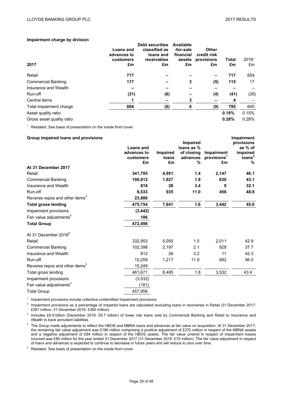## **Impairment charge by division**

| 2017                      | Loans and<br>advances to<br>customers<br>£m | <b>Debt securities</b><br>classified as<br>loans and<br>receivables<br>£m | Available<br>-for-sale<br>financial<br>assets<br>£m | Other<br>credit risk<br>provisions<br>£m | Total<br>£m | 20161<br>£m |
|---------------------------|---------------------------------------------|---------------------------------------------------------------------------|-----------------------------------------------------|------------------------------------------|-------------|-------------|
| Retail                    | 717                                         |                                                                           |                                                     |                                          | 717         | 654         |
| <b>Commercial Banking</b> | 117                                         |                                                                           | 3                                                   | (5)                                      | 115         | 17          |
| Insurance and Wealth      |                                             |                                                                           |                                                     |                                          |             |             |
| Run-off                   | (31)                                        | (6)                                                                       |                                                     | (4)                                      | (41)        | (26)        |
| Central items             | 1                                           |                                                                           | 3                                                   |                                          | 4           |             |
| Total impairment charge   | 804                                         | (6)                                                                       | 6                                                   | (9)                                      | 795         | 645         |
| Asset quality ratio       |                                             |                                                                           |                                                     |                                          | 0.18%       | 0.15%       |
| Gross asset quality ratio |                                             |                                                                           |                                                     |                                          | 0.28%       | 0.28%       |

 $1$  Restated. See basis of presentation on the inside front cover.

## **Group impaired loans and provisions Impairment** Constructions and the state of the state of the state of the state of the state of the state of the state of the state of the state of the state of the state of the state of

|                                            |                  |                 | <b>Impaired</b> |                         | provisions         |
|--------------------------------------------|------------------|-----------------|-----------------|-------------------------|--------------------|
|                                            | <b>Loans and</b> |                 | loans as %      |                         | as % of            |
|                                            | advances to      | <b>Impaired</b> | of closing      | Impairment              | impaired           |
|                                            | customers        | loans           | advances        | provisions <sup>1</sup> | loans <sup>2</sup> |
| At 31 December 2017                        | £m               | £m              | %               | £m                      | %                  |
|                                            |                  |                 |                 |                         |                    |
| Retail                                     | 341,705          | 4,951           | 1.4             | 2,147                   | 46.1               |
| <b>Commercial Banking</b>                  | 100,812          | 1,927           | 1.9             | 830                     | 43.1               |
| Insurance and Wealth                       | 818              | 28              | 3.4             | 9                       | 32.1               |
| Run-off                                    | 8,533            | 935             | 11.0            | 456                     | 48.8               |
| Reverse repos and other items <sup>3</sup> | 23,886           |                 |                 |                         |                    |
| <b>Total gross lending</b>                 | 475,754          | 7,841           | 1.6             | 3,442                   | 45.6               |
| Impairment provisions                      | (3, 442)         |                 |                 |                         |                    |
| Fair value adjustments <sup>4</sup>        | 186              |                 |                 |                         |                    |
| <b>Total Group</b>                         | 472,498          |                 |                 |                         |                    |
| At 31 December 2016 <sup>5</sup>           |                  |                 |                 |                         |                    |
| Retail                                     | 332,953          | 5,055           | 1.5             | 2,011                   | 42.9               |
| <b>Commercial Banking</b>                  | 102,398          | 2,197           | 2.1             | 828                     | 37.7               |
| Insurance and Wealth                       | 812              | 26              | 3.2             | 11                      | 42.3               |
| Run-off                                    | 10,259           | 1,217           | 11.9            | 682                     | 56.0               |
| Reverse repos and other items <sup>3</sup> | 15,249           |                 |                 |                         |                    |
| Total gross lending                        | 461,671          | 8,495           | 1.8             | 3,532                   | 43.4               |
| Impairment provisions                      | (3,532)          |                 |                 |                         |                    |
| Fair value adjustments <sup>4</sup>        | (181)            |                 |                 |                         |                    |
| <b>Total Group</b>                         | 457,958          |                 |                 |                         |                    |

 $1$  Impairment provisions include collective unidentified impairment provisions.

 $2$  Impairment provisions as a percentage of impaired loans are calculated excluding loans in recoveries in Retail (31 December 2017: £291 million; 31 December 2016: £365 million)

<sup>3</sup> Includes £6.9 billion (December 2016: £6.7 billion) of lower risk loans sold by Commercial Banking and Retail to Insurance and Wealth to back annuitant liabilities.

<sup>4</sup> The Group made adjustments to reflect the HBOS and MBNA loans and advances at fair value on acquisition. At 31 December 2017, the remaining fair value adjustment was £186 million comprising a positive adjustment of £270 million in respect of the MBNA assets and a negative adjustment of £84 million in respect of the HBOS assets. The fair value unwind in respect of impairment losses incurred was £85 million for the year ended 31 December 2017 (31 December 2016: £70 million). The fair value adjustment in respect of loans and advances is expected to continue to decrease in future years and will reduce to zero over time.

<sup>5</sup> Restated. See basis of presentation on the inside front cover.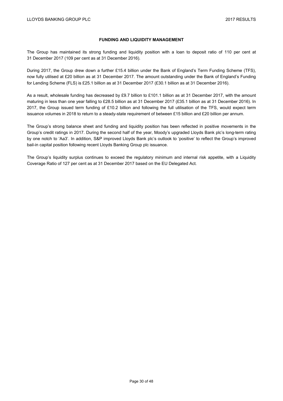## **FUNDING AND LIQUIDITY MANAGEMENT**

The Group has maintained its strong funding and liquidity position with a loan to deposit ratio of 110 per cent at 31 December 2017 (109 per cent as at 31 December 2016).

During 2017, the Group drew down a further £15.4 billion under the Bank of England's Term Funding Scheme (TFS), now fully utilised at £20 billion as at 31 December 2017. The amount outstanding under the Bank of England's Funding for Lending Scheme (FLS) is £25.1 billion as at 31 December 2017 (£30.1 billion as at 31 December 2016).

As a result, wholesale funding has decreased by £9.7 billion to £101.1 billion as at 31 December 2017, with the amount maturing in less than one year falling to £28.5 billion as at 31 December 2017 (£35.1 billion as at 31 December 2016). In 2017, the Group issued term funding of £10.2 billion and following the full utilisation of the TFS, would expect term issuance volumes in 2018 to return to a steady-state requirement of between £15 billion and £20 billion per annum.

The Group's strong balance sheet and funding and liquidity position has been reflected in positive movements in the Group's credit ratings in 2017. During the second half of the year, Moody's upgraded Lloyds Bank plc's long-term rating by one notch to 'Aa3'. In addition, S&P improved Lloyds Bank plc's outlook to 'positive' to reflect the Group's improved bail-in capital position following recent Lloyds Banking Group plc issuance.

The Group's liquidity surplus continues to exceed the regulatory minimum and internal risk appetite, with a Liquidity Coverage Ratio of 127 per cent as at 31 December 2017 based on the EU Delegated Act.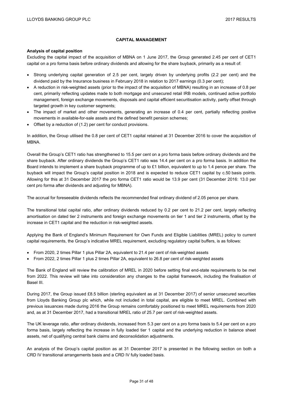## **CAPITAL MANAGEMENT**

## **Analysis of capital position**

Excluding the capital impact of the acquisition of MBNA on 1 June 2017, the Group generated 2.45 per cent of CET1 capital on a pro forma basis before ordinary dividends and allowing for the share buyback, primarily as a result of:

- Strong underlying capital generation of 2.5 per cent, largely driven by underlying profits (2.2 per cent) and the dividend paid by the Insurance business in February 2018 in relation to 2017 earnings (0.3 per cent);
- A reduction in risk-weighted assets (prior to the impact of the acquisition of MBNA) resulting in an increase of 0.8 per cent, primarily reflecting updates made to both mortgage and unsecured retail IRB models, continued active portfolio management, foreign exchange movements, disposals and capital efficient securitisation activity, partly offset through targeted growth in key customer segments;
- The impact of market and other movements, generating an increase of 0.4 per cent, partially reflecting positive movements in available-for-sale assets and the defined benefit pension schemes;
- Offset by a reduction of (1.2) per cent for conduct provisions.

In addition, the Group utilised the 0.8 per cent of CET1 capital retained at 31 December 2016 to cover the acquisition of MBNA.

Overall the Group's CET1 ratio has strengthened to 15.5 per cent on a pro forma basis before ordinary dividends and the share buyback. After ordinary dividends the Group's CET1 ratio was 14.4 per cent on a pro forma basis. In addition the Board intends to implement a share buyback programme of up to £1 billion, equivalent to up to 1.4 pence per share. The buyback will impact the Group's capital position in 2018 and is expected to reduce CET1 capital by c.50 basis points. Allowing for this at 31 December 2017 the pro forma CET1 ratio would be 13.9 per cent (31 December 2016: 13.0 per cent pro forma after dividends and adjusting for MBNA).

The accrual for foreseeable dividends reflects the recommended final ordinary dividend of 2.05 pence per share.

The transitional total capital ratio, after ordinary dividends reduced by 0.2 per cent to 21.2 per cent, largely reflecting amortisation on dated tier 2 instruments and foreign exchange movements on tier 1 and tier 2 instruments, offset by the increase in CET1 capital and the reduction in risk-weighted assets.

Applying the Bank of England's Minimum Requirement for Own Funds and Eligible Liabilities (MREL) policy to current capital requirements, the Group's indicative MREL requirement, excluding regulatory capital buffers, is as follows:

- From 2020, 2 times Pillar 1 plus Pillar 2A, equivalent to 21.4 per cent of risk-weighted assets
- From 2022, 2 times Pillar 1 plus 2 times Pillar 2A, equivalent to 26.8 per cent of risk-weighted assets

The Bank of England will review the calibration of MREL in 2020 before setting final end-state requirements to be met from 2022. This review will take into consideration any changes to the capital framework, including the finalisation of Basel III.

During 2017, the Group issued £8.5 billion (sterling equivalent as at 31 December 2017) of senior unsecured securities from Lloyds Banking Group plc which, while not included in total capital, are eligible to meet MREL. Combined with previous issuances made during 2016 the Group remains comfortably positioned to meet MREL requirements from 2020 and, as at 31 December 2017, had a transitional MREL ratio of 25.7 per cent of risk-weighted assets.

The UK leverage ratio, after ordinary dividends, increased from 5.3 per cent on a pro forma basis to 5.4 per cent on a pro forma basis, largely reflecting the increase in fully loaded tier 1 capital and the underlying reduction in balance sheet assets, net of qualifying central bank claims and deconsolidation adjustments.

An analysis of the Group's capital position as at 31 December 2017 is presented in the following section on both a CRD IV transitional arrangements basis and a CRD IV fully loaded basis.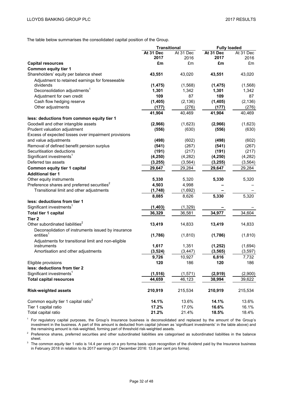The table below summarises the consolidated capital position of the Group.

|                                                         | <b>Transitional</b> |                   | <b>Fully loaded</b> |                   |
|---------------------------------------------------------|---------------------|-------------------|---------------------|-------------------|
|                                                         | At 31 Dec<br>2017   | At 31 Dec<br>2016 | At 31 Dec<br>2017   | At 31 Dec<br>2016 |
| <b>Capital resources</b>                                | £m                  | £m                | £m                  | £m                |
| <b>Common equity tier 1</b>                             |                     |                   |                     |                   |
| Shareholders' equity per balance sheet                  | 43,551              | 43,020            | 43,551              | 43,020            |
| Adjustment to retained earnings for foreseeable         |                     |                   |                     |                   |
| dividends                                               | (1, 475)            | (1,568)           | (1, 475)            | (1, 568)          |
| Deconsolidation adjustments <sup>1</sup>                | 1,301               | 1,342             | 1,301               | 1,342             |
| Adjustment for own credit                               | 109                 | 87                | 109                 | 87                |
| Cash flow hedging reserve                               | (1, 405)            | (2, 136)          | (1,405)             | (2, 136)          |
| Other adjustments                                       | (177)               | (276)             | (177)               | (276)             |
|                                                         | 41,904              | 40,469            | 41,904              | 40,469            |
| less: deductions from common equity tier 1              |                     |                   |                     |                   |
| Goodwill and other intangible assets                    | (2,966)             | (1,623)           | (2,966)             | (1,623)           |
| Prudent valuation adjustment                            | (556)               | (630)             | (556)               | (630)             |
| Excess of expected losses over impairment provisions    |                     |                   |                     |                   |
| and value adjustments                                   | (498)               | (602)             | (498)               | (602)             |
| Removal of defined benefit pension surplus              | (541)               | (267)             | (541)               | (267)             |
| Securitisation deductions                               | (191)               | (217)             | (191)               | (217)             |
| Significant investments <sup>1</sup>                    | (4, 250)            | (4, 282)          | (4, 250)            | (4, 282)          |
| Deferred tax assets                                     | (3, 255)            | (3, 564)          | (3, 255)            | (3, 564)          |
| Common equity tier 1 capital                            | 29,647              | 29,284            | 29,647              | 29,284            |
| <b>Additional tier 1</b>                                |                     |                   |                     |                   |
| Other equity instruments                                | 5,330               | 5,320             | 5,330               | 5,320             |
| Preference shares and preferred securities <sup>2</sup> | 4,503               | 4,998             |                     |                   |
| Transitional limit and other adjustments                | (1,748)             | (1,692)           |                     |                   |
|                                                         | 8,085               | 8,626             | 5,330               | 5,320             |
| less: deductions from tier 1                            |                     |                   |                     |                   |
| Significant investments <sup>1</sup>                    | (1, 403)            | (1, 329)          |                     |                   |
| Total tier 1 capital                                    | 36,329              | 36,581            | 34,977              | 34,604            |
| Tier <sub>2</sub>                                       |                     |                   |                     |                   |
| Other subordinated liabilities <sup>2</sup>             | 13,419              | 14,833            | 13,419              | 14,833            |
| Deconsolidation of instruments issued by insurance      |                     |                   |                     |                   |
| entities <sup>1</sup>                                   | (1,786)             | (1, 810)          | (1,786)             | (1, 810)          |
| Adjustments for transitional limit and non-eligible     |                     |                   |                     |                   |
| instruments                                             | 1,617               | 1,351             | (1, 252)            | (1,694)           |
| Amortisation and other adjustments                      | (3, 524)            | (3, 447)          | (3, 565)            | (3, 597)          |
|                                                         | 9,726               | 10,927            | 6,816               | 7,732             |
| Eligible provisions                                     | 120                 | 186               | 120                 | 186               |
| less: deductions from tier 2                            |                     |                   |                     |                   |
| Significant investments <sup>1</sup>                    | (1, 516)            | (1, 571)          | (2,919)             | (2,900)           |
| <b>Total capital resources</b>                          | 44,659              | 46,123            | 38,994              | 39,622            |
|                                                         |                     |                   |                     |                   |
| <b>Risk-weighted assets</b>                             | 210,919             | 215,534           | 210,919             | 215,534           |
| Common equity tier 1 capital ratio <sup>3</sup>         | 14.1%               | 13.6%             | 14.1%               | 13.6%             |
| Tier 1 capital ratio                                    | 17.2%               | 17.0%             | 16.6%               | 16.1%             |
| Total capital ratio                                     | 21.2%               | 21.4%             | 18.5%               | 18.4%             |

<sup>1</sup> For regulatory capital purposes, the Group's Insurance business is deconsolidated and replaced by the amount of the Group's investment in the business. A part of this amount is deducted from capital (shown as 'significant investments' in the table above) and the remaining amount is risk-weighted, forming part of threshold risk-weighted assets.

<sup>2</sup> Preference shares, preferred securities and other subordinated liabilities are categorised as subordinated liabilities in the balance

sheet.<br><sup>3</sup> The common equity tier 1 ratio is 14.4 per cent on a pro forma basis upon recognition of the dividend paid by the Insurance business in February 2018 in relation to its 2017 earnings (31 December 2016: 13.8 per cent pro forma).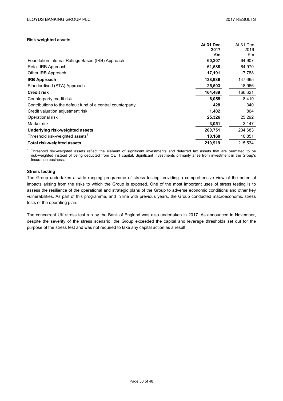## **Risk-weighted assets**

|                                                             | At 31 Dec | At 31 Dec |
|-------------------------------------------------------------|-----------|-----------|
|                                                             | 2017      | 2016      |
|                                                             | £m        | £m        |
| Foundation Internal Ratings Based (IRB) Approach            | 60,207    | 64,907    |
| Retail IRB Approach                                         | 61,588    | 64,970    |
| Other IRB Approach                                          | 17,191    | 17,788    |
| <b>IRB Approach</b>                                         | 138,986   | 147,665   |
| Standardised (STA) Approach                                 | 25,503    | 18,956    |
| <b>Credit risk</b>                                          | 164.489   | 166,621   |
| Counterparty credit risk                                    | 6,055     | 8,419     |
| Contributions to the default fund of a central counterparty | 428       | 340       |
| Credit valuation adjustment risk                            | 1,402     | 864       |
| Operational risk                                            | 25,326    | 25,292    |
| Market risk                                                 | 3,051     | 3,147     |
| Underlying risk-weighted assets                             | 200,751   | 204,683   |
| Threshold risk-weighted assets <sup>1</sup>                 | 10,168    | 10,851    |
| <b>Total risk-weighted assets</b>                           | 210,919   | 215,534   |

<sup>1</sup> Threshold risk-weighted assets reflect the element of significant investments and deferred tax assets that are permitted to be risk-weighted instead of being deducted from CET1 capital. Significant investments primarily arise from investment in the Group's Insurance business.

## **Stress testing**

The Group undertakes a wide ranging programme of stress testing providing a comprehensive view of the potential impacts arising from the risks to which the Group is exposed. One of the most important uses of stress testing is to assess the resilience of the operational and strategic plans of the Group to adverse economic conditions and other key vulnerabilities. As part of this programme, and in line with previous years, the Group conducted macroeconomic stress tests of the operating plan.

The concurrent UK stress test run by the Bank of England was also undertaken in 2017. As announced in November, despite the severity of the stress scenario, the Group exceeded the capital and leverage thresholds set out for the purpose of the stress test and was not required to take any capital action as a result.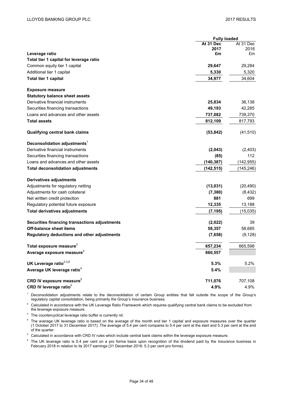|                                               | <b>Fully loaded</b> |            |
|-----------------------------------------------|---------------------|------------|
|                                               | At 31 Dec           | At 31 Dec  |
|                                               | 2017                | 2016       |
| Leverage ratio                                | £m                  | £m         |
| Total tier 1 capital for leverage ratio       |                     |            |
| Common equity tier 1 capital                  | 29,647              | 29,284     |
| Additional tier 1 capital                     | 5,330               | 5,320      |
| <b>Total tier 1 capital</b>                   | 34,977              | 34,604     |
| <b>Exposure measure</b>                       |                     |            |
| <b>Statutory balance sheet assets</b>         |                     |            |
| Derivative financial instruments              | 25,834              | 36,138     |
| Securities financing transactions             | 49,193              | 42,285     |
| Loans and advances and other assets           | 737,082             | 739,370    |
| <b>Total assets</b>                           | 812,109             | 817,793    |
| <b>Qualifying central bank claims</b>         | (53, 842)           | (41, 510)  |
| Deconsolidation adjustments <sup>1</sup>      |                     |            |
| Derivative financial instruments              | (2,043)             | (2, 403)   |
| Securities financing transactions             | (85)                | 112        |
| Loans and advances and other assets           | (140, 387)          | (142, 955) |
| <b>Total deconsolidation adjustments</b>      | (142, 515)          | (145, 246) |
| <b>Derivatives adjustments</b>                |                     |            |
| Adjustments for regulatory netting            | (13, 031)           | (20, 490)  |
| Adjustments for cash collateral               | (7, 380)            | (8, 432)   |
| Net written credit protection                 | 881                 | 699        |
| Regulatory potential future exposure          | 12,335              | 13,188     |
| <b>Total derivatives adjustments</b>          | (7, 195)            | (15,035)   |
| Securities financing transactions adjustments | (2,022)             | 39         |
| <b>Off-balance sheet items</b>                | 58,357              | 58,685     |
| Regulatory deductions and other adjustments   | (7,658)             | (9, 128)   |
| Total exposure measure <sup>2</sup>           | 657,234             | 665,598    |
| Average exposure measure <sup>4</sup>         | 660,557             |            |
| UK Leverage ratio <sup>2,3,6</sup>            | 5.3%                | 5.2%       |
| Average UK leverage ratio <sup>4</sup>        | 5.4%                |            |
| CRD IV exposure measure <sup>5</sup>          | 711,076             | 707,108    |
| CRD IV leverage ratio <sup>5</sup>            | 4.9%                | 4.9%       |

<sup>1</sup> Deconsolidation adjustments relate to the deconsolidation of certain Group entities that fall outside the scope of the Group's regulatory capital consolidation, being primarily the Group's Insurance business.

<sup>2</sup> Calculated in accordance with the UK Leverage Ratio Framework which requires qualifying central bank claims to be excluded from the leverage exposure measure.

<sup>3</sup> The countercyclical leverage ratio buffer is currently nil.

<sup>4</sup> The average UK leverage ratio is based on the average of the month end tier 1 capital and exposure measures over the quarter (1 October 2017 to 31 December 2017). The average of 5.4 per cent compares to 5.4 per cent at the start and 5.3 per cent at the end of the quarter.

<sup>5</sup> Calculated in accordance with CRD IV rules which include central bank claims within the leverage exposure measure.

<sup>6</sup> The UK leverage ratio is 5.4 per cent on a pro forma basis upon recognition of the dividend paid by the Insurance business in February 2018 in relation to its 2017 earnings (31 December 2016: 5.3 per cent pro forma).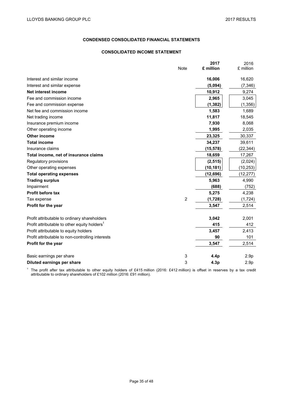# **CONDENSED CONSOLIDATED FINANCIAL STATEMENTS**

## **CONSOLIDATED INCOME STATEMENT**

|                                                          | <b>Note</b>    | 2017<br>£ million | 2016<br>£ million |
|----------------------------------------------------------|----------------|-------------------|-------------------|
|                                                          |                |                   |                   |
| Interest and similar income                              |                | 16,006            | 16,620            |
| Interest and similar expense                             |                | (5,094)           | (7, 346)          |
| Net interest income                                      |                | 10,912            | 9,274             |
| Fee and commission income                                |                | 2,965             | 3,045             |
| Fee and commission expense                               |                | (1, 382)          | (1, 356)          |
| Net fee and commission income                            |                | 1,583             | 1,689             |
| Net trading income                                       |                | 11,817            | 18,545            |
| Insurance premium income                                 |                | 7,930             | 8,068             |
| Other operating income                                   |                | 1,995             | 2,035             |
| Other income                                             |                | 23,325            | 30,337            |
| <b>Total income</b>                                      |                | 34,237            | 39,611            |
| Insurance claims                                         |                | (15, 578)         | (22, 344)         |
| Total income, net of insurance claims                    |                | 18,659            | 17,267            |
| Regulatory provisions                                    |                | (2, 515)          | (2,024)           |
| Other operating expenses                                 |                | (10, 181)         | (10, 253)         |
| <b>Total operating expenses</b>                          |                | (12, 696)         | (12, 277)         |
| <b>Trading surplus</b>                                   |                | 5,963             | 4,990             |
| Impairment                                               |                | (688)             | (752)             |
| Profit before tax                                        |                | 5,275             | 4,238             |
| Tax expense                                              | $\overline{c}$ | (1,728)           | (1, 724)          |
| Profit for the year                                      |                | 3,547             | 2,514             |
| Profit attributable to ordinary shareholders             |                | 3,042             | 2,001             |
| Profit attributable to other equity holders <sup>1</sup> |                | 415               | 412               |
| Profit attributable to equity holders                    |                | 3,457             | 2,413             |
| Profit attributable to non-controlling interests         |                | 90                | 101               |
| Profit for the year                                      |                | 3,547             | 2,514             |
| Basic earnings per share                                 | 3              | 4.4p              | 2.9 <sub>p</sub>  |
| Diluted earnings per share                               | 3              | 4.3p              | 2.9 <sub>p</sub>  |

<sup>1</sup> The profit after tax attributable to other equity holders of £415 million (2016: £412 million) is offset in reserves by a tax credit attributable to ordinary shareholders of £102 million (2016: £91 million).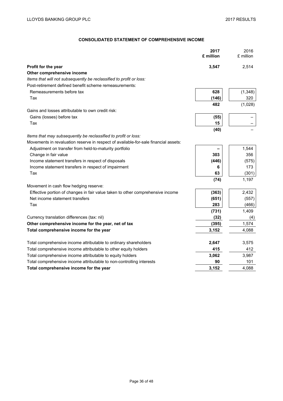# **CONSOLIDATED STATEMENT OF COMPREHENSIVE INCOME**

|                                                                                     | 2017<br>£ million | 2016<br>£ million |
|-------------------------------------------------------------------------------------|-------------------|-------------------|
| Profit for the year                                                                 | 3,547             | 2,514             |
| Other comprehensive income                                                          |                   |                   |
| Items that will not subsequently be reclassified to profit or loss:                 |                   |                   |
| Post-retirement defined benefit scheme remeasurements:                              |                   |                   |
| Remeasurements before tax                                                           | 628               | (1, 348)          |
| Tax                                                                                 | (146)             | 320               |
|                                                                                     | 482               | (1,028)           |
| Gains and losses attributable to own credit risk:                                   |                   |                   |
| Gains (losses) before tax                                                           | (55)              |                   |
| Tax                                                                                 | 15                |                   |
|                                                                                     | (40)              |                   |
| Items that may subsequently be reclassified to profit or loss:                      |                   |                   |
| Movements in revaluation reserve in respect of available-for-sale financial assets: |                   |                   |
| Adjustment on transfer from held-to-maturity portfolio                              |                   | 1,544             |
| Change in fair value                                                                | 303               | 356               |
| Income statement transfers in respect of disposals                                  | (446)             | (575)             |
| Income statement transfers in respect of impairment                                 | 6                 | 173               |
| Tax                                                                                 | 63                | (301)             |
|                                                                                     | (74)              | 1,197             |
| Movement in cash flow hedging reserve:                                              |                   |                   |
| Effective portion of changes in fair value taken to other comprehensive income      | (363)             | 2,432             |
| Net income statement transfers                                                      | (651)             | (557)             |
| Tax                                                                                 | 283               | (466)             |
|                                                                                     | (731)             | 1,409             |
| Currency translation differences (tax: nil)                                         | (32)              | (4)               |
| Other comprehensive income for the year, net of tax                                 | (395)             | 1,574             |
| Total comprehensive income for the year                                             | 3,152             | 4,088             |
|                                                                                     |                   |                   |
| Total comprehensive income attributable to ordinary shareholders                    | 2,647             | 3,575             |
| Total comprehensive income attributable to other equity holders                     | 415               | 412               |
| Total comprehensive income attributable to equity holders                           | 3,062             | 3,987             |
| Total comprehensive income attributable to non-controlling interests                | 90                | 101               |
| Total comprehensive income for the year                                             | 3,152             | 4,088             |
|                                                                                     |                   |                   |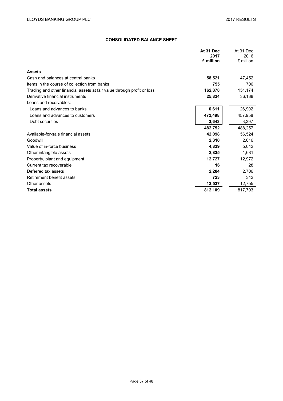# **CONSOLIDATED BALANCE SHEET**

|                                                                         | At 31 Dec         | At 31 Dec         |
|-------------------------------------------------------------------------|-------------------|-------------------|
|                                                                         | 2017<br>£ million | 2016<br>£ million |
|                                                                         |                   |                   |
| <b>Assets</b>                                                           |                   |                   |
| Cash and balances at central banks                                      | 58,521            | 47,452            |
| Items in the course of collection from banks                            | 755               | 706               |
| Trading and other financial assets at fair value through profit or loss | 162,878           | 151,174           |
| Derivative financial instruments                                        | 25,834            | 36,138            |
| Loans and receivables:                                                  |                   |                   |
| Loans and advances to banks                                             | 6,611             | 26,902            |
| Loans and advances to customers                                         | 472,498           | 457,958           |
| Debt securities                                                         | 3,643             | 3,397             |
|                                                                         | 482,752           | 488,257           |
| Available-for-sale financial assets                                     | 42,098            | 56,524            |
| Goodwill                                                                | 2,310             | 2,016             |
| Value of in-force business                                              | 4,839             | 5,042             |
| Other intangible assets                                                 | 2,835             | 1,681             |
| Property, plant and equipment                                           | 12,727            | 12,972            |
| Current tax recoverable                                                 | 16                | 28                |
| Deferred tax assets                                                     | 2,284             | 2,706             |
| Retirement benefit assets                                               | 723               | 342               |
| Other assets                                                            | 13,537            | 12,755            |
| <b>Total assets</b>                                                     | 812,109           | 817,793           |
|                                                                         |                   |                   |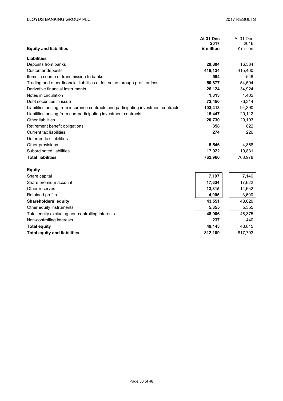| <b>Equity and liabilities</b>                                                       | At 31 Dec<br>2017<br>£ million | At 31 Dec<br>2016<br>£ million |
|-------------------------------------------------------------------------------------|--------------------------------|--------------------------------|
| <b>Liabilities</b>                                                                  |                                |                                |
| Deposits from banks                                                                 | 29,804                         | 16,384                         |
| Customer deposits                                                                   | 418,124                        | 415,460                        |
| Items in course of transmission to banks                                            | 584                            | 548                            |
| Trading and other financial liabilities at fair value through profit or loss        | 50,877                         | 54,504                         |
| Derivative financial instruments                                                    | 26,124                         | 34,924                         |
| Notes in circulation                                                                | 1,313                          | 1,402                          |
| Debt securities in issue                                                            | 72,450                         | 76,314                         |
| Liabilities arising from insurance contracts and participating investment contracts | 103,413                        | 94,390                         |
| Liabilities arising from non-participating investment contracts                     | 15,447                         | 20,112                         |
| Other liabilities                                                                   | 20,730                         | 29,193                         |
| Retirement benefit obligations                                                      | 358                            | 822                            |
| <b>Current tax liabilities</b>                                                      | 274                            | 226                            |
| Deferred tax liabilities                                                            |                                |                                |
| Other provisions                                                                    | 5,546                          | 4,868                          |
| Subordinated liabilities                                                            | 17,922                         | 19,831                         |
| <b>Total liabilities</b>                                                            | 762,966                        | 768,978                        |
| <b>Equity</b>                                                                       |                                |                                |
| Share capital                                                                       | 7,197                          | 7,146                          |
| Share premium account                                                               | 17,634                         | 17,622                         |
| Other reserves                                                                      | 13,815                         | 14,652                         |
| Retained profits                                                                    | 4,905                          | 3,600                          |
| Shareholders' equity                                                                | 43,551                         | 43,020                         |
| Other equity instruments                                                            | 5,355                          | 5,355                          |
| Total equity excluding non-controlling interests                                    | 48,906                         | 48,375                         |
| Non-controlling interests                                                           | 237                            | 440                            |
| <b>Total equity</b>                                                                 | 49,143                         | 48,815                         |
| <b>Total equity and liabilities</b>                                                 | 812,109                        | 817,793                        |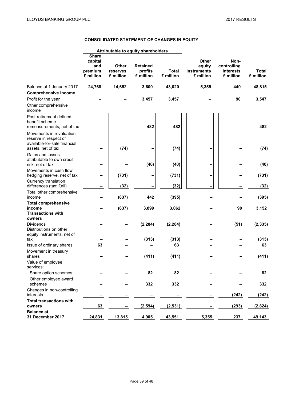# **CONSOLIDATED STATEMENT OF CHANGES IN EQUITY**

|                                                                                                         |                                                        |                                       | Attributable to equity shareholders     |                           |                                             |                                                      |                           |
|---------------------------------------------------------------------------------------------------------|--------------------------------------------------------|---------------------------------------|-----------------------------------------|---------------------------|---------------------------------------------|------------------------------------------------------|---------------------------|
|                                                                                                         | <b>Share</b><br>capital<br>and<br>premium<br>£ million | <b>Other</b><br>reserves<br>£ million | <b>Retained</b><br>profits<br>£ million | <b>Total</b><br>£ million | Other<br>equity<br>instruments<br>£ million | Non-<br>controlling<br><b>interests</b><br>£ million | <b>Total</b><br>£ million |
| Balance at 1 January 2017<br><b>Comprehensive income</b>                                                | 24,768                                                 | 14,652                                | 3,600                                   | 43,020                    | 5,355                                       | 440                                                  | 48,815                    |
| Profit for the year                                                                                     |                                                        |                                       | 3,457                                   | 3,457                     |                                             | 90                                                   | 3,547                     |
| Other comprehensive<br>income                                                                           |                                                        |                                       |                                         |                           |                                             |                                                      |                           |
| Post-retirement defined<br>benefit scheme<br>remeasurements, net of tax                                 |                                                        |                                       | 482                                     | 482                       |                                             |                                                      | 482                       |
| Movements in revaluation<br>reserve in respect of<br>available-for-sale financial<br>assets, net of tax |                                                        | (74)                                  |                                         | (74)                      |                                             |                                                      | (74)                      |
| Gains and losses<br>attributable to own credit<br>risk, net of tax                                      |                                                        |                                       | (40)                                    | (40)                      |                                             |                                                      | (40)                      |
| Movements in cash flow                                                                                  |                                                        |                                       |                                         |                           |                                             |                                                      |                           |
| hedging reserve, net of tax<br>Currency translation                                                     |                                                        | (731)                                 |                                         | (731)                     |                                             | -                                                    | (731)                     |
| differences (tax: £nil)                                                                                 |                                                        | (32)                                  |                                         | (32)                      |                                             |                                                      | (32)                      |
| Total other comprehensive                                                                               |                                                        |                                       |                                         |                           |                                             |                                                      |                           |
| income<br><b>Total comprehensive</b>                                                                    |                                                        | (837)                                 | 442                                     | (395)                     |                                             |                                                      | (395)                     |
| income                                                                                                  |                                                        | (837)                                 | 3,899                                   | 3,062                     |                                             | 90                                                   | 3,152                     |
| <b>Transactions with</b><br>owners                                                                      |                                                        |                                       |                                         |                           |                                             |                                                      |                           |
| Dividends<br>Distributions on other<br>equity instruments, net of                                       |                                                        |                                       | (2, 284)                                | (2, 284)                  |                                             | (51)                                                 | (2, 335)                  |
| tax                                                                                                     |                                                        |                                       | (313)                                   | (313)                     |                                             |                                                      | (313)                     |
| Issue of ordinary shares                                                                                | 63                                                     |                                       |                                         | 63                        |                                             |                                                      | 63                        |
| Movement in treasury<br>shares                                                                          |                                                        |                                       | (411)                                   | (411)                     |                                             |                                                      | (411)                     |
| Value of employee<br>services:                                                                          |                                                        |                                       |                                         |                           |                                             |                                                      |                           |
| Share option schemes                                                                                    |                                                        |                                       | 82                                      | 82                        |                                             |                                                      | 82                        |
| Other employee award<br>schemes                                                                         |                                                        |                                       | 332                                     | 332                       |                                             |                                                      | 332                       |
| Changes in non-controlling<br>interests                                                                 |                                                        |                                       |                                         |                           |                                             | (242)                                                | (242)                     |
| <b>Total transactions with</b><br>owners                                                                | 63                                                     |                                       | (2, 594)                                | (2, 531)                  |                                             | (293)                                                | (2,824)                   |
| <b>Balance at</b><br>31 December 2017                                                                   | 24,831                                                 | 13,815                                | 4,905                                   | 43,551                    | 5,355                                       | 237                                                  | 49,143                    |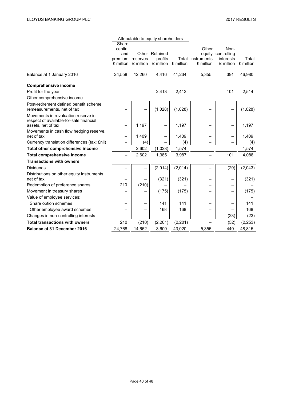|                                                                                                      |                                                          |           | Attributable to equity shareholders                  |          |                                         |                                                      |                    |
|------------------------------------------------------------------------------------------------------|----------------------------------------------------------|-----------|------------------------------------------------------|----------|-----------------------------------------|------------------------------------------------------|--------------------|
|                                                                                                      | Share<br>capital<br>and<br>premium reserves<br>£ million | £ million | Other Retained<br>profits<br>$£$ million $£$ million |          | Other<br>Total instruments<br>£ million | Non-<br>equity controlling<br>interests<br>£ million | Total<br>£ million |
| Balance at 1 January 2016                                                                            | 24,558                                                   | 12,260    | 4,416                                                | 41,234   | 5,355                                   | 391                                                  | 46,980             |
| <b>Comprehensive income</b>                                                                          |                                                          |           |                                                      |          |                                         |                                                      |                    |
| Profit for the year                                                                                  |                                                          |           | 2,413                                                | 2,413    |                                         | 101                                                  | 2,514              |
| Other comprehensive income                                                                           |                                                          |           |                                                      |          |                                         |                                                      |                    |
| Post-retirement defined benefit scheme<br>remeasurements, net of tax                                 |                                                          |           | (1,028)                                              | (1,028)  |                                         |                                                      | (1,028)            |
| Movements in revaluation reserve in<br>respect of available-for-sale financial<br>assets, net of tax |                                                          | 1,197     |                                                      | 1,197    |                                         |                                                      | 1,197              |
| Movements in cash flow hedging reserve,<br>net of tax                                                | —                                                        | 1,409     |                                                      | 1,409    |                                         |                                                      | 1,409              |
| Currency translation differences (tax: £nil)                                                         |                                                          | (4)       |                                                      | (4)      |                                         |                                                      | (4)                |
| Total other comprehensive income                                                                     | $\qquad \qquad$                                          | 2,602     | (1,028)                                              | 1,574    |                                         |                                                      | 1,574              |
| <b>Total comprehensive income</b>                                                                    |                                                          | 2,602     | 1,385                                                | 3,987    |                                         | 101                                                  | 4,088              |
| <b>Transactions with owners</b>                                                                      |                                                          |           |                                                      |          |                                         |                                                      |                    |
| <b>Dividends</b>                                                                                     |                                                          |           | (2,014)                                              | (2,014)  |                                         | (29)                                                 | (2,043)            |
| Distributions on other equity instruments,<br>net of tax                                             |                                                          |           | (321)                                                | (321)    |                                         | —                                                    | (321)              |
| Redemption of preference shares                                                                      | 210                                                      | (210)     |                                                      |          |                                         |                                                      |                    |
| Movement in treasury shares                                                                          |                                                          |           | (175)                                                | (175)    |                                         |                                                      | (175)              |
| Value of employee services:                                                                          |                                                          |           |                                                      |          |                                         |                                                      |                    |
| Share option schemes                                                                                 | -                                                        |           | 141                                                  | 141      |                                         |                                                      | 141                |
| Other employee award schemes                                                                         |                                                          |           | 168                                                  | 168      |                                         |                                                      | 168                |
| Changes in non-controlling interests                                                                 |                                                          |           |                                                      |          |                                         | (23)                                                 | (23)               |
| <b>Total transactions with owners</b>                                                                | 210                                                      | (210)     | (2, 201)                                             | (2, 201) |                                         | (52)                                                 | (2, 253)           |
| <b>Balance at 31 December 2016</b>                                                                   | 24,768                                                   | 14,652    | 3,600                                                | 43,020   | 5,355                                   | 440                                                  | 48,815             |
|                                                                                                      |                                                          |           |                                                      |          |                                         |                                                      |                    |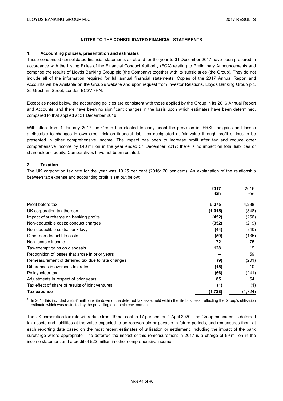## **NOTES TO THE CONSOLIDATED FINANCIAL STATEMENTS**

## **1. Accounting policies, presentation and estimates**

These condensed consolidated financial statements as at and for the year to 31 December 2017 have been prepared in accordance with the Listing Rules of the Financial Conduct Authority (FCA) relating to Preliminary Announcements and comprise the results of Lloyds Banking Group plc (the Company) together with its subsidiaries (the Group). They do not include all of the information required for full annual financial statements. Copies of the 2017 Annual Report and Accounts will be available on the Group's website and upon request from Investor Relations, Lloyds Banking Group plc, 25 Gresham Street, London EC2V 7HN.

Except as noted below, the accounting policies are consistent with those applied by the Group in its 2016 Annual Report and Accounts, and there have been no significant changes in the basis upon which estimates have been determined, compared to that applied at 31 December 2016.

With effect from 1 January 2017 the Group has elected to early adopt the provision in IFRS9 for gains and losses attributable to changes in own credit risk on financial liabilities designated at fair value through profit or loss to be presented in other comprehensive income. The impact has been to increase profit after tax and reduce other comprehensive income by £40 million in the year ended 31 December 2017; there is no impact on total liabilities or shareholders' equity. Comparatives have not been restated.

## **2. Taxation**

The UK corporation tax rate for the year was 19.25 per cent (2016: 20 per cent). An explanation of the relationship between tax expense and accounting profit is set out below:

|                                                   | 2017    | 2016     |
|---------------------------------------------------|---------|----------|
|                                                   | £m      | £m       |
| Profit before tax                                 | 5,275   | 4,238    |
| UK corporation tax thereon                        | (1,015) | (848)    |
| Impact of surcharge on banking profits            | (452)   | (266)    |
| Non-deductible costs: conduct charges             | (352)   | (219)    |
| Non-deductible costs: bank levy                   | (44)    | (40)     |
| Other non-deductible costs                        | (59)    | (135)    |
| Non-taxable income                                | 72      | 75       |
| Tax-exempt gains on disposals                     | 128     | 19       |
| Recognition of losses that arose in prior years   |         | 59       |
| Remeasurement of deferred tax due to rate changes | (9)     | (201)    |
| Differences in overseas tax rates                 | (15)    | 10       |
| Policyholder tax <sup>1</sup>                     | (66)    | (241)    |
| Adjustments in respect of prior years             | 85      | 64       |
| Tax effect of share of results of joint ventures  | (1)     | (1)      |
| Tax expense                                       | (1,728) | (1, 724) |

 $1$  In 2016 this included a £231 million write down of the deferred tax asset held within the life business, reflecting the Group's utilisation estimate which was restricted by the prevailing economic environment.

The UK corporation tax rate will reduce from 19 per cent to 17 per cent on 1 April 2020. The Group measures its deferred tax assets and liabilities at the value expected to be recoverable or payable in future periods, and remeasures them at each reporting date based on the most recent estimates of utilisation or settlement, including the impact of the bank surcharge where appropriate. The deferred tax impact of this remeasurement in 2017 is a charge of £9 million in the income statement and a credit of £22 million in other comprehensive income.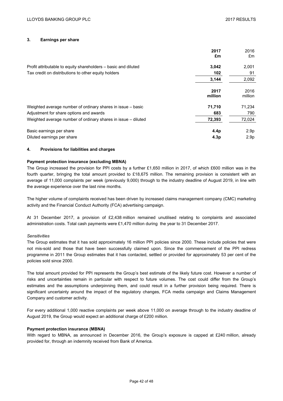## **3. Earnings per share**

|                                                                | 2017<br>£m       | 2016<br>£m       |
|----------------------------------------------------------------|------------------|------------------|
| Profit attributable to equity shareholders – basic and diluted | 3,042            | 2,001            |
| Tax credit on distributions to other equity holders            | 102              | 91               |
|                                                                | 3,144            | 2,092            |
|                                                                | 2017<br>million  | 2016<br>million  |
| Weighted average number of ordinary shares in issue – basic    | 71,710           | 71,234           |
| Adjustment for share options and awards                        | 683              | 790              |
| Weighted average number of ordinary shares in issue – diluted  | 72,393           | 72,024           |
| Basic earnings per share                                       | 4.4 <sub>p</sub> | 2.9 <sub>p</sub> |
| Diluted earnings per share                                     | 4.3p             | 2.9 <sub>p</sub> |

## **4. Provisions for liabilities and charges**

## **Payment protection insurance (excluding MBNA)**

The Group increased the provision for PPI costs by a further £1,650 million in 2017, of which £600 million was in the fourth quarter, bringing the total amount provided to £18,675 million. The remaining provision is consistent with an average of 11,000 complaints per week (previously 9,000) through to the industry deadline of August 2019, in line with the average experience over the last nine months.

The higher volume of complaints received has been driven by increased claims management company (CMC) marketing activity and the Financial Conduct Authority (FCA) advertising campaign.

At 31 December 2017, a provision of £2,438 million remained unutilised relating to complaints and associated administration costs. Total cash payments were £1,470 million during the year to 31 December 2017.

## *Sensitivities*

The Group estimates that it has sold approximately 16 million PPI policies since 2000. These include policies that were not mis-sold and those that have been successfully claimed upon. Since the commencement of the PPI redress programme in 2011 the Group estimates that it has contacted, settled or provided for approximately 53 per cent of the policies sold since 2000.

The total amount provided for PPI represents the Group's best estimate of the likely future cost. However a number of risks and uncertainties remain in particular with respect to future volumes. The cost could differ from the Group's estimates and the assumptions underpinning them, and could result in a further provision being required. There is significant uncertainty around the impact of the regulatory changes, FCA media campaign and Claims Management Company and customer activity.

For every additional 1,000 reactive complaints per week above 11,000 on average through to the industry deadline of August 2019, the Group would expect an additional charge of £200 million.

## **Payment protection insurance (MBNA)**

With regard to MBNA, as announced in December 2016, the Group's exposure is capped at £240 million, already provided for, through an indemnity received from Bank of America.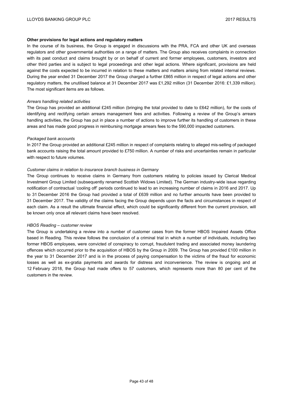## **Other provisions for legal actions and regulatory matters**

In the course of its business, the Group is engaged in discussions with the PRA, FCA and other UK and overseas regulators and other governmental authorities on a range of matters. The Group also receives complaints in connection with its past conduct and claims brought by or on behalf of current and former employees, customers, investors and other third parties and is subject to legal proceedings and other legal actions. Where significant, provisions are held against the costs expected to be incurred in relation to these matters and matters arising from related internal reviews. During the year ended 31 December 2017 the Group charged a further £865 million in respect of legal actions and other regulatory matters, the unutilised balance at 31 December 2017 was £1,292 million (31 December 2016: £1,339 million). The most significant items are as follows.

## *Arrears handling related activities*

The Group has provided an additional £245 million (bringing the total provided to date to £642 million), for the costs of identifying and rectifying certain arrears management fees and activities. Following a review of the Group's arrears handling activities, the Group has put in place a number of actions to improve further its handling of customers in these areas and has made good progress in reimbursing mortgage arrears fees to the 590,000 impacted customers.

#### *Packaged bank accounts*

In 2017 the Group provided an additional £245 million in respect of complaints relating to alleged mis-selling of packaged bank accounts raising the total amount provided to £750 million. A number of risks and uncertainties remain in particular with respect to future volumes.

## *Customer claims in relation to insurance branch business in Germany*

The Group continues to receive claims in Germany from customers relating to policies issued by Clerical Medical Investment Group Limited (subsequently renamed Scottish Widows Limited). The German industry-wide issue regarding notification of contractual 'cooling off' periods continued to lead to an increasing number of claims in 2016 and 2017. Up to 31 December 2016 the Group had provided a total of £639 million and no further amounts have been provided to 31 December 2017. The validity of the claims facing the Group depends upon the facts and circumstances in respect of each claim. As a result the ultimate financial effect, which could be significantly different from the current provision, will be known only once all relevant claims have been resolved.

## *HBOS Reading – customer review*

The Group is undertaking a review into a number of customer cases from the former HBOS Impaired Assets Office based in Reading. This review follows the conclusion of a criminal trial in which a number of individuals, including two former HBOS employees, were convicted of conspiracy to corrupt, fraudulent trading and associated money laundering offences which occurred prior to the acquisition of HBOS by the Group in 2009. The Group has provided £100 million in the year to 31 December 2017 and is in the process of paying compensation to the victims of the fraud for economic losses as well as ex-gratia payments and awards for distress and inconvenience. The review is ongoing and at 12 February 2018, the Group had made offers to 57 customers, which represents more than 80 per cent of the customers in the review.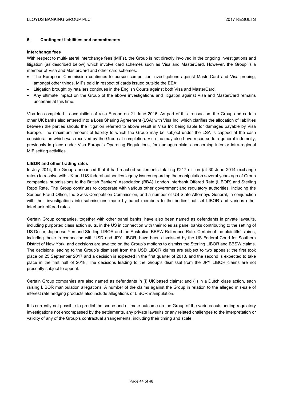## **5. Contingent liabilities and commitments**

#### **Interchange fees**

With respect to multi-lateral interchange fees (MIFs), the Group is not directly involved in the ongoing investigations and litigation (as described below) which involve card schemes such as Visa and MasterCard. However, the Group is a member of Visa and MasterCard and other card schemes.

- The European Commission continues to pursue competition investigations against MasterCard and Visa probing, amongst other things, MIFs paid in respect of cards issued outside the EEA;
- Litigation brought by retailers continues in the English Courts against both Visa and MasterCard.
- Any ultimate impact on the Group of the above investigations and litigation against Visa and MasterCard remains uncertain at this time.

Visa Inc completed its acquisition of Visa Europe on 21 June 2016. As part of this transaction, the Group and certain other UK banks also entered into a Loss Sharing Agreement (LSA) with Visa Inc, which clarifies the allocation of liabilities between the parties should the litigation referred to above result in Visa Inc being liable for damages payable by Visa Europe. The maximum amount of liability to which the Group may be subject under the LSA is capped at the cash consideration which was received by the Group at completion. Visa Inc may also have recourse to a general indemnity, previously in place under Visa Europe's Operating Regulations, for damages claims concerning inter or intra-regional MIF setting activities.

## **LIBOR and other trading rates**

In July 2014, the Group announced that it had reached settlements totalling £217 million (at 30 June 2014 exchange rates) to resolve with UK and US federal authorities legacy issues regarding the manipulation several years ago of Group companies' submissions to the British Bankers' Association (BBA) London Interbank Offered Rate (LIBOR) and Sterling Repo Rate. The Group continues to cooperate with various other government and regulatory authorities, including the Serious Fraud Office, the Swiss Competition Commission, and a number of US State Attorneys General, in conjunction with their investigations into submissions made by panel members to the bodies that set LIBOR and various other interbank offered rates.

Certain Group companies, together with other panel banks, have also been named as defendants in private lawsuits, including purported class action suits, in the US in connection with their roles as panel banks contributing to the setting of US Dollar, Japanese Yen and Sterling LIBOR and the Australian BBSW Reference Rate. Certain of the plaintiffs' claims, including those in connection with USD and JPY LIBOR, have been dismissed by the US Federal Court for Southern District of New York, and decisions are awaited on the Group's motions to dismiss the Sterling LIBOR and BBSW claims. The decisions leading to the Group's dismissal from the USD LIBOR claims are subject to two appeals; the first took place on 25 September 2017 and a decision is expected in the first quarter of 2018, and the second is expected to take place in the first half of 2018. The decisions leading to the Group's dismissal from the JPY LIBOR claims are not presently subject to appeal.

Certain Group companies are also named as defendants in (i) UK based claims; and (ii) in a Dutch class action, each raising LIBOR manipulation allegations. A number of the claims against the Group in relation to the alleged mis-sale of interest rate hedging products also include allegations of LIBOR manipulation.

It is currently not possible to predict the scope and ultimate outcome on the Group of the various outstanding regulatory investigations not encompassed by the settlements, any private lawsuits or any related challenges to the interpretation or validity of any of the Group's contractual arrangements, including their timing and scale.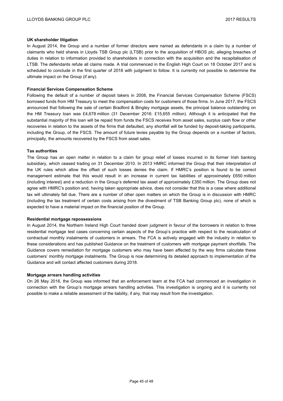## **UK shareholder litigation**

In August 2014, the Group and a number of former directors were named as defendants in a claim by a number of claimants who held shares in Lloyds TSB Group plc (LTSB) prior to the acquisition of HBOS plc, alleging breaches of duties in relation to information provided to shareholders in connection with the acquisition and the recapitalisation of LTSB. The defendants refute all claims made. A trial commenced in the English High Court on 18 October 2017 and is scheduled to conclude in the first quarter of 2018 with judgment to follow. It is currently not possible to determine the ultimate impact on the Group (if any).

## **Financial Services Compensation Scheme**

Following the default of a number of deposit takers in 2008, the Financial Services Compensation Scheme (FSCS) borrowed funds from HM Treasury to meet the compensation costs for customers of those firms. In June 2017, the FSCS announced that following the sale of certain Bradford & Bingley mortgage assets, the principal balance outstanding on the HM Treasury loan was £4,678 million (31 December 2016: £15,655 million). Although it is anticipated that the substantial majority of this loan will be repaid from funds the FSCS receives from asset sales, surplus cash flow or other recoveries in relation to the assets of the firms that defaulted, any shortfall will be funded by deposit-taking participants, including the Group, of the FSCS. The amount of future levies payable by the Group depends on a number of factors, principally, the amounts recovered by the FSCS from asset sales.

## **Tax authorities**

The Group has an open matter in relation to a claim for group relief of losses incurred in its former Irish banking subsidiary, which ceased trading on 31 December 2010. In 2013 HMRC informed the Group that their interpretation of the UK rules which allow the offset of such losses denies the claim. If HMRC's position is found to be correct management estimate that this would result in an increase in current tax liabilities of approximately £650 million (including interest) and a reduction in the Group's deferred tax asset of approximately £350 million. The Group does not agree with HMRC's position and, having taken appropriate advice, does not consider that this is a case where additional tax will ultimately fall due. There are a number of other open matters on which the Group is in discussion with HMRC (including the tax treatment of certain costs arising from the divestment of TSB Banking Group plc), none of which is expected to have a material impact on the financial position of the Group.

## **Residential mortgage repossessions**

In August 2014, the Northern Ireland High Court handed down judgment in favour of the borrowers in relation to three residential mortgage test cases concerning certain aspects of the Group's practice with respect to the recalculation of contractual monthly instalments of customers in arrears. The FCA is actively engaged with the industry in relation to these considerations and has published Guidance on the treatment of customers with mortgage payment shortfalls. The Guidance covers remediation for mortgage customers who may have been affected by the way firms calculate these customers' monthly mortgage instalments. The Group is now determining its detailed approach to implementation of the Guidance and will contact affected customers during 2018.

## **Mortgage arrears handling activities**

On 26 May 2016, the Group was informed that an enforcement team at the FCA had commenced an investigation in connection with the Group's mortgage arrears handling activities. This investigation is ongoing and it is currently not possible to make a reliable assessment of the liability, if any, that may result from the investigation.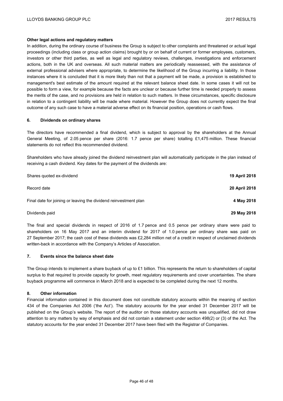## **Other legal actions and regulatory matters**

In addition, during the ordinary course of business the Group is subject to other complaints and threatened or actual legal proceedings (including class or group action claims) brought by or on behalf of current or former employees, customers, investors or other third parties, as well as legal and regulatory reviews, challenges, investigations and enforcement actions, both in the UK and overseas. All such material matters are periodically reassessed, with the assistance of external professional advisers where appropriate, to determine the likelihood of the Group incurring a liability. In those instances where it is concluded that it is more likely than not that a payment will be made, a provision is established to management's best estimate of the amount required at the relevant balance sheet date. In some cases it will not be possible to form a view, for example because the facts are unclear or because further time is needed properly to assess the merits of the case, and no provisions are held in relation to such matters. In these circumstances, specific disclosure in relation to a contingent liability will be made where material. However the Group does not currently expect the final outcome of any such case to have a material adverse effect on its financial position, operations or cash flows.

## **6. Dividends on ordinary shares**

The directors have recommended a final dividend, which is subject to approval by the shareholders at the Annual General Meeting, of 2.05 pence per share (2016: 1.7 pence per share) totalling £1,475 million. These financial statements do not reflect this recommended dividend.

Shareholders who have already joined the dividend reinvestment plan will automatically participate in the plan instead of receiving a cash dividend. Key dates for the payment of the dividends are:

| Shares quoted ex-dividend                                        | <b>19 April 2018</b> |
|------------------------------------------------------------------|----------------------|
| Record date                                                      | 20 April 2018        |
| Final date for joining or leaving the dividend reinvestment plan | 4 May 2018           |
| Dividends paid                                                   | 29 May 2018          |

The final and special dividends in respect of 2016 of 1.7 pence and 0.5 pence per ordinary share were paid to shareholders on 16 May 2017 and an interim dividend for 2017 of 1.0 pence per ordinary share was paid on 27 September 2017; the cash cost of these dividends was £2,284 million net of a credit in respect of unclaimed dividends written-back in accordance with the Company's Articles of Association.

## **7. Events since the balance sheet date**

The Group intends to implement a share buyback of up to £1 billion. This represents the return to shareholders of capital surplus to that required to provide capacity for growth, meet regulatory requirements and cover uncertainties. The share buyback programme will commence in March 2018 and is expected to be completed during the next 12 months.

## **8. Other information**

Financial information contained in this document does not constitute statutory accounts within the meaning of section 434 of the Companies Act 2006 ('the Act'). The statutory accounts for the year ended 31 December 2017 will be published on the Group's website. The report of the auditor on those statutory accounts was unqualified, did not draw attention to any matters by way of emphasis and did not contain a statement under section 498(2) or (3) of the Act. The statutory accounts for the year ended 31 December 2017 have been filed with the Registrar of Companies.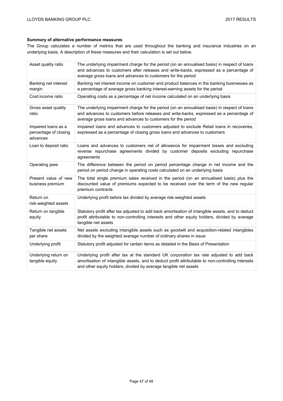# **Summary of alternative performance measures**

The Group calculates a number of metrics that are used throughout the banking and insurance industries on an underlying basis. A description of these measures and their calculation is set out below.

| Asset quality ratio                                      | The underlying impairment charge for the period (on an annualised basis) in respect of loans<br>and advances to customers after releases and write-backs, expressed as a percentage of<br>average gross loans and advances to customers for the period            |
|----------------------------------------------------------|-------------------------------------------------------------------------------------------------------------------------------------------------------------------------------------------------------------------------------------------------------------------|
| Banking net interest<br>margin                           | Banking net interest income on customer and product balances in the banking businesses as<br>a percentage of average gross banking interest-earning assets for the period                                                                                         |
| Cost:income ratio                                        | Operating costs as a percentage of net income calculated on an underlying basis                                                                                                                                                                                   |
| Gross asset quality<br>ratio                             | The underlying impairment charge for the period (on an annualised basis) in respect of loans<br>and advances to customers before releases and write-backs, expressed as a percentage of<br>average gross loans and advances to customers for the period           |
| Impaired loans as a<br>percentage of closing<br>advances | Impaired loans and advances to customers adjusted to exclude Retail loans in recoveries,<br>expressed as a percentage of closing gross loans and advances to customers                                                                                            |
| Loan to deposit ratio                                    | Loans and advances to customers net of allowance for impairment losses and excluding<br>reverse repurchase agreements divided by customer deposits excluding repurchase<br>agreements                                                                             |
| Operating jaws                                           | The difference between the period on period percentage change in net income and the<br>period on period change in operating costs calculated on an underlying basis                                                                                               |
| Present value of new<br>business premium                 | The total single premium sales received in the period (on an annualised basis) plus the<br>discounted value of premiums expected to be received over the term of the new regular<br>premium contracts                                                             |
| Return on<br>risk-weighted assets                        | Underlying profit before tax divided by average risk-weighted assets                                                                                                                                                                                              |
| Return on tangible<br>equity                             | Statutory profit after tax adjusted to add back amortisation of intangible assets, and to deduct<br>profit attributable to non-controlling interests and other equity holders, divided by average<br>tangible net assets                                          |
| Tangible net assets<br>per share                         | Net assets excluding intangible assets such as goodwill and acquisition-related intangibles<br>divided by the weighted average number of ordinary shares in issue                                                                                                 |
| Underlying profit                                        | Statutory profit adjusted for certain items as detailed in the Basis of Presentation                                                                                                                                                                              |
| Underlying return on<br>tangible equity                  | Underlying profit after tax at the standard UK corporation tax rate adjusted to add back<br>amortisation of intangible assets, and to deduct profit attributable to non-controlling interests<br>and other equity holders, divided by average tangible net assets |